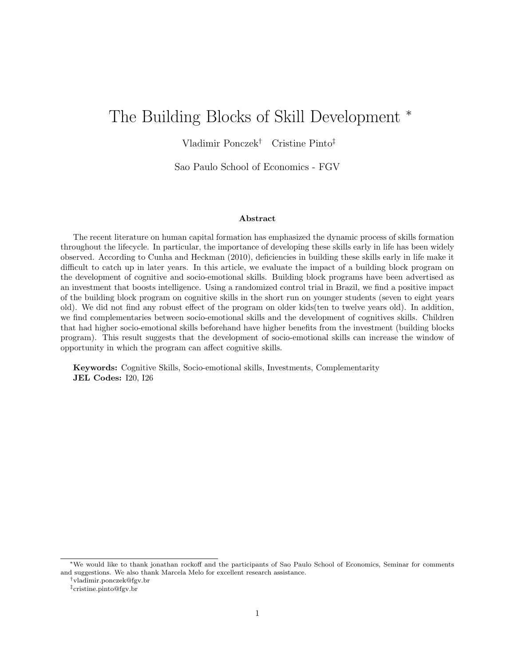# The Building Blocks of Skill Development <sup>\*</sup>

Vladimir Ponczek† Cristine Pinto‡

Sao Paulo School of Economics - FGV

#### Abstract

The recent literature on human capital formation has emphasized the dynamic process of skills formation throughout the lifecycle. In particular, the importance of developing these skills early in life has been widely observed. According to Cunha and Heckman (2010), deficiencies in building these skills early in life make it difficult to catch up in later years. In this article, we evaluate the impact of a building block program on the development of cognitive and socio-emotional skills. Building block programs have been advertised as an investment that boosts intelligence. Using a randomized control trial in Brazil, we find a positive impact of the building block program on cognitive skills in the short run on younger students (seven to eight years old). We did not find any robust effect of the program on older kids(ten to twelve years old). In addition, we find complementaries between socio-emotional skills and the development of cognitives skills. Children that had higher socio-emotional skills beforehand have higher benefits from the investment (building blocks program). This result suggests that the development of socio-emotional skills can increase the window of opportunity in which the program can affect cognitive skills.

Keywords: Cognitive Skills, Socio-emotional skills, Investments, Complementarity JEL Codes: I20, I26

<sup>∗</sup>We would like to thank jonathan rockoff and the participants of Sao Paulo School of Economics, Seminar for comments and suggestions. We also thank Marcela Melo for excellent research assistance.

†vladimir.ponczek@fgv.br

<sup>‡</sup>cristine.pinto@fgv.br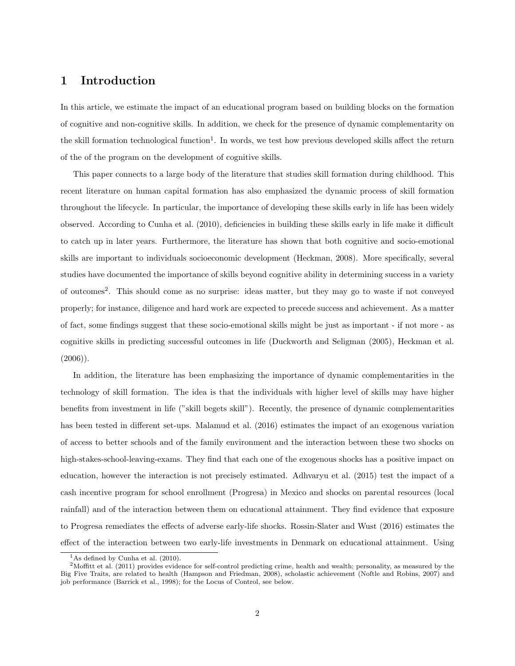## 1 Introduction

In this article, we estimate the impact of an educational program based on building blocks on the formation of cognitive and non-cognitive skills. In addition, we check for the presence of dynamic complementarity on the skill formation technological function<sup>1</sup>. In words, we test how previous developed skills affect the return of the of the program on the development of cognitive skills.

This paper connects to a large body of the literature that studies skill formation during childhood. This recent literature on human capital formation has also emphasized the dynamic process of skill formation throughout the lifecycle. In particular, the importance of developing these skills early in life has been widely observed. According to Cunha et al. (2010), deficiencies in building these skills early in life make it difficult to catch up in later years. Furthermore, the literature has shown that both cognitive and socio-emotional skills are important to individuals socioeconomic development (Heckman, 2008). More specifically, several studies have documented the importance of skills beyond cognitive ability in determining success in a variety of outcomes<sup>2</sup>. This should come as no surprise: ideas matter, but they may go to waste if not conveyed properly; for instance, diligence and hard work are expected to precede success and achievement. As a matter of fact, some findings suggest that these socio-emotional skills might be just as important - if not more - as cognitive skills in predicting successful outcomes in life (Duckworth and Seligman (2005), Heckman et al.  $(2006)$ ).

In addition, the literature has been emphasizing the importance of dynamic complementarities in the technology of skill formation. The idea is that the individuals with higher level of skills may have higher benefits from investment in life ("skill begets skill"). Recently, the presence of dynamic complementarities has been tested in different set-ups. Malamud et al. (2016) estimates the impact of an exogenous variation of access to better schools and of the family environment and the interaction between these two shocks on high-stakes-school-leaving-exams. They find that each one of the exogenous shocks has a positive impact on education, however the interaction is not precisely estimated. Adhvaryu et al. (2015) test the impact of a cash incentive program for school enrollment (Progresa) in Mexico and shocks on parental resources (local rainfall) and of the interaction between them on educational attainment. They find evidence that exposure to Progresa remediates the effects of adverse early-life shocks. Rossin-Slater and Wust (2016) estimates the effect of the interaction between two early-life investments in Denmark on educational attainment. Using

<sup>&</sup>lt;sup>1</sup>As defined by Cunha et al.  $(2010)$ .

<sup>2</sup>Moffitt et al. (2011) provides evidence for self-control predicting crime, health and wealth; personality, as measured by the Big Five Traits, are related to health (Hampson and Friedman, 2008), scholastic achievement (Noftle and Robins, 2007) and job performance (Barrick et al., 1998); for the Locus of Control, see below.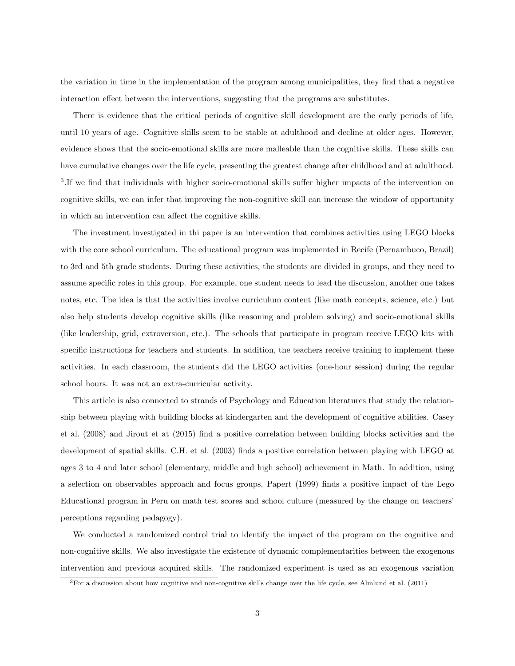the variation in time in the implementation of the program among municipalities, they find that a negative interaction effect between the interventions, suggesting that the programs are substitutes.

There is evidence that the critical periods of cognitive skill development are the early periods of life, until 10 years of age. Cognitive skills seem to be stable at adulthood and decline at older ages. However, evidence shows that the socio-emotional skills are more malleable than the cognitive skills. These skills can have cumulative changes over the life cycle, presenting the greatest change after childhood and at adulthood. <sup>3</sup>. If we find that individuals with higher socio-emotional skills suffer higher impacts of the intervention on cognitive skills, we can infer that improving the non-cognitive skill can increase the window of opportunity in which an intervention can affect the cognitive skills.

The investment investigated in thi paper is an intervention that combines activities using LEGO blocks with the core school curriculum. The educational program was implemented in Recife (Pernambuco, Brazil) to 3rd and 5th grade students. During these activities, the students are divided in groups, and they need to assume specific roles in this group. For example, one student needs to lead the discussion, another one takes notes, etc. The idea is that the activities involve curriculum content (like math concepts, science, etc.) but also help students develop cognitive skills (like reasoning and problem solving) and socio-emotional skills (like leadership, grid, extroversion, etc.). The schools that participate in program receive LEGO kits with specific instructions for teachers and students. In addition, the teachers receive training to implement these activities. In each classroom, the students did the LEGO activities (one-hour session) during the regular school hours. It was not an extra-curricular activity.

This article is also connected to strands of Psychology and Education literatures that study the relationship between playing with building blocks at kindergarten and the development of cognitive abilities. Casey et al. (2008) and Jirout et at (2015) find a positive correlation between building blocks activities and the development of spatial skills. C.H. et al. (2003) finds a positive correlation between playing with LEGO at ages 3 to 4 and later school (elementary, middle and high school) achievement in Math. In addition, using a selection on observables approach and focus groups, Papert (1999) finds a positive impact of the Lego Educational program in Peru on math test scores and school culture (measured by the change on teachers' perceptions regarding pedagogy).

We conducted a randomized control trial to identify the impact of the program on the cognitive and non-cognitive skills. We also investigate the existence of dynamic complementarities between the exogenous intervention and previous acquired skills. The randomized experiment is used as an exogenous variation

 ${}^{3}$  For a discussion about how cognitive and non-cognitive skills change over the life cycle, see Almlund et al. (2011)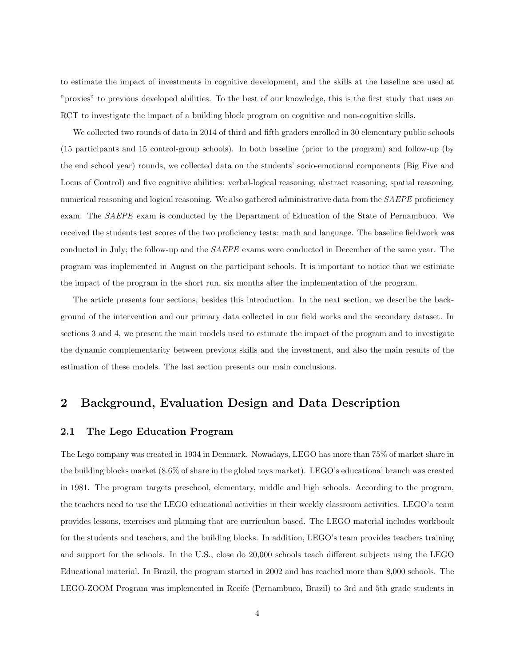to estimate the impact of investments in cognitive development, and the skills at the baseline are used at "proxies" to previous developed abilities. To the best of our knowledge, this is the first study that uses an RCT to investigate the impact of a building block program on cognitive and non-cognitive skills.

We collected two rounds of data in 2014 of third and fifth graders enrolled in 30 elementary public schools (15 participants and 15 control-group schools). In both baseline (prior to the program) and follow-up (by the end school year) rounds, we collected data on the students' socio-emotional components (Big Five and Locus of Control) and five cognitive abilities: verbal-logical reasoning, abstract reasoning, spatial reasoning, numerical reasoning and logical reasoning. We also gathered administrative data from the SAEPE proficiency exam. The SAEPE exam is conducted by the Department of Education of the State of Pernambuco. We received the students test scores of the two proficiency tests: math and language. The baseline fieldwork was conducted in July; the follow-up and the SAEPE exams were conducted in December of the same year. The program was implemented in August on the participant schools. It is important to notice that we estimate the impact of the program in the short run, six months after the implementation of the program.

The article presents four sections, besides this introduction. In the next section, we describe the background of the intervention and our primary data collected in our field works and the secondary dataset. In sections 3 and 4, we present the main models used to estimate the impact of the program and to investigate the dynamic complementarity between previous skills and the investment, and also the main results of the estimation of these models. The last section presents our main conclusions.

### 2 Background, Evaluation Design and Data Description

#### 2.1 The Lego Education Program

The Lego company was created in 1934 in Denmark. Nowadays, LEGO has more than 75% of market share in the building blocks market (8.6% of share in the global toys market). LEGO's educational branch was created in 1981. The program targets preschool, elementary, middle and high schools. According to the program, the teachers need to use the LEGO educational activities in their weekly classroom activities. LEGO'a team provides lessons, exercises and planning that are curriculum based. The LEGO material includes workbook for the students and teachers, and the building blocks. In addition, LEGO's team provides teachers training and support for the schools. In the U.S., close do 20,000 schools teach different subjects using the LEGO Educational material. In Brazil, the program started in 2002 and has reached more than 8,000 schools. The LEGO-ZOOM Program was implemented in Recife (Pernambuco, Brazil) to 3rd and 5th grade students in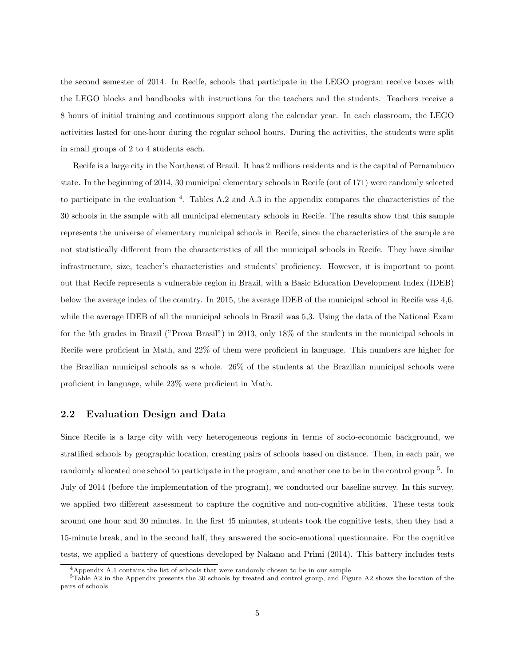the second semester of 2014. In Recife, schools that participate in the LEGO program receive boxes with the LEGO blocks and handbooks with instructions for the teachers and the students. Teachers receive a 8 hours of initial training and continuous support along the calendar year. In each classroom, the LEGO activities lasted for one-hour during the regular school hours. During the activities, the students were split in small groups of 2 to 4 students each.

Recife is a large city in the Northeast of Brazil. It has 2 millions residents and is the capital of Pernambuco state. In the beginning of 2014, 30 municipal elementary schools in Recife (out of 171) were randomly selected to participate in the evaluation  $4$ . Tables A.2 and A.3 in the appendix compares the characteristics of the 30 schools in the sample with all municipal elementary schools in Recife. The results show that this sample represents the universe of elementary municipal schools in Recife, since the characteristics of the sample are not statistically different from the characteristics of all the municipal schools in Recife. They have similar infrastructure, size, teacher's characteristics and students' proficiency. However, it is important to point out that Recife represents a vulnerable region in Brazil, with a Basic Education Development Index (IDEB) below the average index of the country. In 2015, the average IDEB of the municipal school in Recife was 4,6, while the average IDEB of all the municipal schools in Brazil was 5,3. Using the data of the National Exam for the 5th grades in Brazil ("Prova Brasil") in 2013, only 18% of the students in the municipal schools in Recife were proficient in Math, and 22% of them were proficient in language. This numbers are higher for the Brazilian municipal schools as a whole. 26% of the students at the Brazilian municipal schools were proficient in language, while 23% were proficient in Math.

#### 2.2 Evaluation Design and Data

Since Recife is a large city with very heterogeneous regions in terms of socio-economic background, we stratified schools by geographic location, creating pairs of schools based on distance. Then, in each pair, we randomly allocated one school to participate in the program, and another one to be in the control group <sup>5</sup>. In July of 2014 (before the implementation of the program), we conducted our baseline survey. In this survey, we applied two different assessment to capture the cognitive and non-cognitive abilities. These tests took around one hour and 30 minutes. In the first 45 minutes, students took the cognitive tests, then they had a 15-minute break, and in the second half, they answered the socio-emotional questionnaire. For the cognitive tests, we applied a battery of questions developed by Nakano and Primi (2014). This battery includes tests

<sup>4</sup>Appendix A.1 contains the list of schools that were randomly chosen to be in our sample

<sup>5</sup>Table A2 in the Appendix presents the 30 schools by treated and control group, and Figure A2 shows the location of the pairs of schools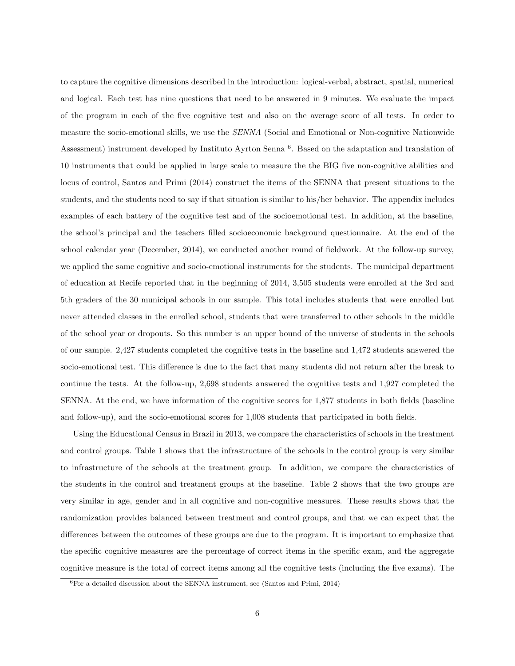to capture the cognitive dimensions described in the introduction: logical-verbal, abstract, spatial, numerical and logical. Each test has nine questions that need to be answered in 9 minutes. We evaluate the impact of the program in each of the five cognitive test and also on the average score of all tests. In order to measure the socio-emotional skills, we use the SENNA (Social and Emotional or Non-cognitive Nationwide Assessment) instrument developed by Instituto Ayrton Senna <sup>6</sup>. Based on the adaptation and translation of 10 instruments that could be applied in large scale to measure the the BIG five non-cognitive abilities and locus of control, Santos and Primi (2014) construct the items of the SENNA that present situations to the students, and the students need to say if that situation is similar to his/her behavior. The appendix includes examples of each battery of the cognitive test and of the socioemotional test. In addition, at the baseline, the school's principal and the teachers filled socioeconomic background questionnaire. At the end of the school calendar year (December, 2014), we conducted another round of fieldwork. At the follow-up survey, we applied the same cognitive and socio-emotional instruments for the students. The municipal department of education at Recife reported that in the beginning of 2014, 3,505 students were enrolled at the 3rd and 5th graders of the 30 municipal schools in our sample. This total includes students that were enrolled but never attended classes in the enrolled school, students that were transferred to other schools in the middle of the school year or dropouts. So this number is an upper bound of the universe of students in the schools of our sample. 2,427 students completed the cognitive tests in the baseline and 1,472 students answered the socio-emotional test. This difference is due to the fact that many students did not return after the break to continue the tests. At the follow-up, 2,698 students answered the cognitive tests and 1,927 completed the SENNA. At the end, we have information of the cognitive scores for 1,877 students in both fields (baseline and follow-up), and the socio-emotional scores for 1,008 students that participated in both fields.

Using the Educational Census in Brazil in 2013, we compare the characteristics of schools in the treatment and control groups. Table 1 shows that the infrastructure of the schools in the control group is very similar to infrastructure of the schools at the treatment group. In addition, we compare the characteristics of the students in the control and treatment groups at the baseline. Table 2 shows that the two groups are very similar in age, gender and in all cognitive and non-cognitive measures. These results shows that the randomization provides balanced between treatment and control groups, and that we can expect that the differences between the outcomes of these groups are due to the program. It is important to emphasize that the specific cognitive measures are the percentage of correct items in the specific exam, and the aggregate cognitive measure is the total of correct items among all the cognitive tests (including the five exams). The

<sup>6</sup>For a detailed discussion about the SENNA instrument, see (Santos and Primi, 2014)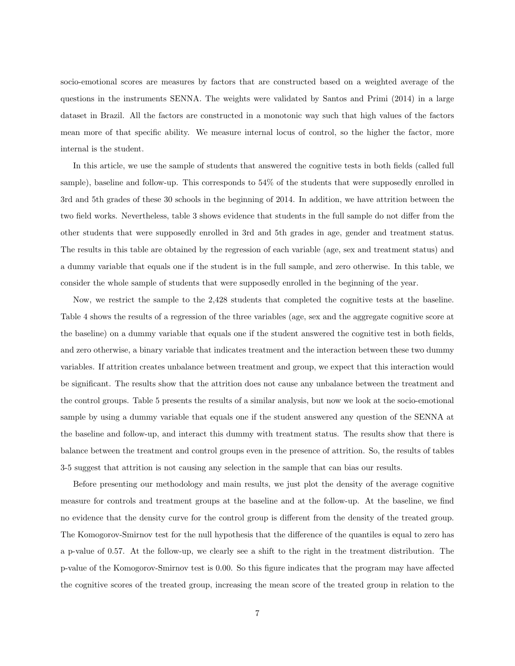socio-emotional scores are measures by factors that are constructed based on a weighted average of the questions in the instruments SENNA. The weights were validated by Santos and Primi (2014) in a large dataset in Brazil. All the factors are constructed in a monotonic way such that high values of the factors mean more of that specific ability. We measure internal locus of control, so the higher the factor, more internal is the student.

In this article, we use the sample of students that answered the cognitive tests in both fields (called full sample), baseline and follow-up. This corresponds to 54% of the students that were supposedly enrolled in 3rd and 5th grades of these 30 schools in the beginning of 2014. In addition, we have attrition between the two field works. Nevertheless, table 3 shows evidence that students in the full sample do not differ from the other students that were supposedly enrolled in 3rd and 5th grades in age, gender and treatment status. The results in this table are obtained by the regression of each variable (age, sex and treatment status) and a dummy variable that equals one if the student is in the full sample, and zero otherwise. In this table, we consider the whole sample of students that were supposedly enrolled in the beginning of the year.

Now, we restrict the sample to the 2,428 students that completed the cognitive tests at the baseline. Table 4 shows the results of a regression of the three variables (age, sex and the aggregate cognitive score at the baseline) on a dummy variable that equals one if the student answered the cognitive test in both fields, and zero otherwise, a binary variable that indicates treatment and the interaction between these two dummy variables. If attrition creates unbalance between treatment and group, we expect that this interaction would be significant. The results show that the attrition does not cause any unbalance between the treatment and the control groups. Table 5 presents the results of a similar analysis, but now we look at the socio-emotional sample by using a dummy variable that equals one if the student answered any question of the SENNA at the baseline and follow-up, and interact this dummy with treatment status. The results show that there is balance between the treatment and control groups even in the presence of attrition. So, the results of tables 3-5 suggest that attrition is not causing any selection in the sample that can bias our results.

Before presenting our methodology and main results, we just plot the density of the average cognitive measure for controls and treatment groups at the baseline and at the follow-up. At the baseline, we find no evidence that the density curve for the control group is different from the density of the treated group. The Komogorov-Smirnov test for the null hypothesis that the difference of the quantiles is equal to zero has a p-value of 0.57. At the follow-up, we clearly see a shift to the right in the treatment distribution. The p-value of the Komogorov-Smirnov test is 0.00. So this figure indicates that the program may have affected the cognitive scores of the treated group, increasing the mean score of the treated group in relation to the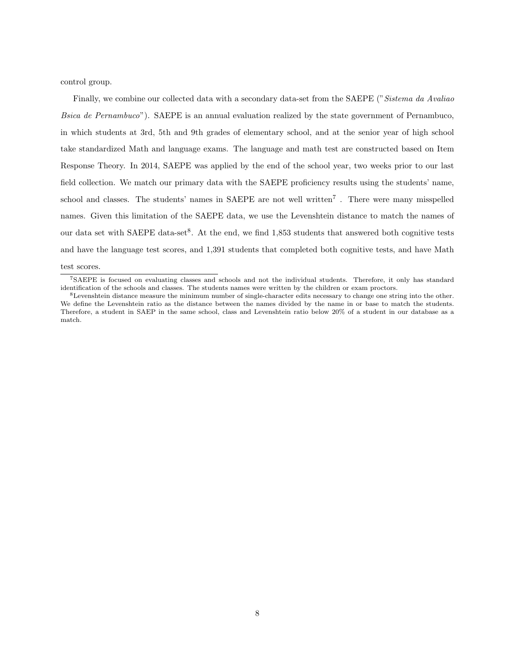control group.

Finally, we combine our collected data with a secondary data-set from the SAEPE ("Sistema da Avaliao") Bsica de Pernambuco"). SAEPE is an annual evaluation realized by the state government of Pernambuco, in which students at 3rd, 5th and 9th grades of elementary school, and at the senior year of high school take standardized Math and language exams. The language and math test are constructed based on Item Response Theory. In 2014, SAEPE was applied by the end of the school year, two weeks prior to our last field collection. We match our primary data with the SAEPE proficiency results using the students' name, school and classes. The students' names in SAEPE are not well written<sup>7</sup>. There were many misspelled names. Given this limitation of the SAEPE data, we use the Levenshtein distance to match the names of our data set with SAEPE data-set<sup>8</sup>. At the end, we find 1,853 students that answered both cognitive tests and have the language test scores, and 1,391 students that completed both cognitive tests, and have Math

#### test scores.

<sup>7</sup>SAEPE is focused on evaluating classes and schools and not the individual students. Therefore, it only has standard identification of the schools and classes. The students names were written by the children or exam proctors.

<sup>8</sup>Levenshtein distance measure the minimum number of single-character edits necessary to change one string into the other. We define the Levenshtein ratio as the distance between the names divided by the name in or base to match the students. Therefore, a student in SAEP in the same school, class and Levenshtein ratio below 20% of a student in our database as a match.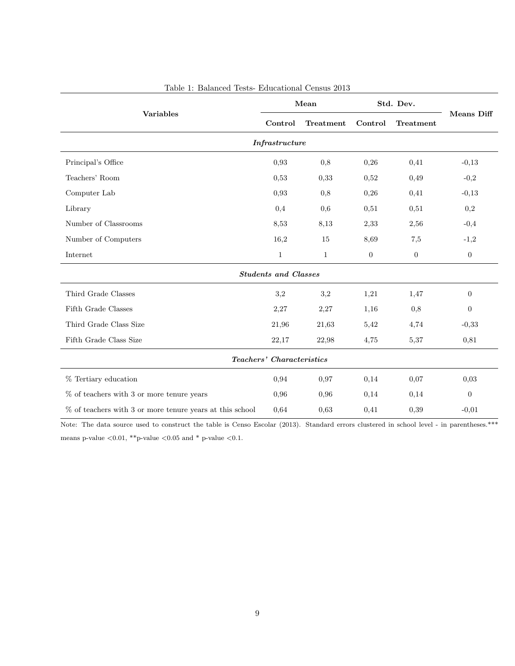|                                                             | Mean                        |              | Std. Dev.      |                |                  |  |  |  |  |
|-------------------------------------------------------------|-----------------------------|--------------|----------------|----------------|------------------|--|--|--|--|
| <b>Variables</b>                                            | Control                     | Treatment    | Control        | Treatment      | Means Diff       |  |  |  |  |
|                                                             | Infrastructure              |              |                |                |                  |  |  |  |  |
| Principal's Office                                          | 0,93                        | 0,8          | 0,26           | 0,41           | $-0,13$          |  |  |  |  |
| Teachers' Room                                              | 0,53                        | 0,33         | 0,52           | 0,49           | $-0,2$           |  |  |  |  |
| Computer Lab                                                | 0,93                        | 0,8          | 0,26           | 0,41           | $-0,13$          |  |  |  |  |
| Library                                                     | 0,4                         | 0,6          | 0,51           | 0,51           | $_{0,2}$         |  |  |  |  |
| Number of Classrooms                                        | 8,53                        | 8,13         | 2,33           | 2,56           | $-0,4$           |  |  |  |  |
| Number of Computers                                         | 16,2                        | 15           | 8,69           | 7,5            | $-1,2$           |  |  |  |  |
| Internet                                                    | $\mathbf{1}$                | $\mathbf{1}$ | $\overline{0}$ | $\overline{0}$ | $\boldsymbol{0}$ |  |  |  |  |
|                                                             | <b>Students and Classes</b> |              |                |                |                  |  |  |  |  |
| Third Grade Classes                                         | 3,2                         | 3,2          | 1,21           | 1,47           | $\boldsymbol{0}$ |  |  |  |  |
| Fifth Grade Classes                                         | 2,27                        | 2,27         | 1,16           | 0,8            | $\overline{0}$   |  |  |  |  |
| Third Grade Class Size                                      | 21,96                       | 21,63        | 5,42           | 4,74           | $-0,33$          |  |  |  |  |
| Fifth Grade Class Size                                      | 22,17                       | 22,98        | 4,75           | 5,37           | 0,81             |  |  |  |  |
| Teachers' Characteristics                                   |                             |              |                |                |                  |  |  |  |  |
| % Tertiary education                                        | 0,94                        | 0,97         | 0,14           | 0,07           | 0,03             |  |  |  |  |
| $%$ of teachers with 3 or more tenure years                 | 0,96                        | 0,96         | 0,14           | 0,14           | $\boldsymbol{0}$ |  |  |  |  |
| $\%$ of teachers with 3 or more tenure years at this school | 0,64                        | 0,63         | 0,41           | 0,39           | $-0,01$          |  |  |  |  |

### Table 1: Balanced Tests- Educational Census 2013

Note: The data source used to construct the table is Censo Escolar (2013). Standard errors clustered in school level - in parentheses.\*\*\* means p-value  $<\!\!0.01,$  \*\*p-value  $<\!\!0.05$  and \* p-value  $<\!\!0.1.$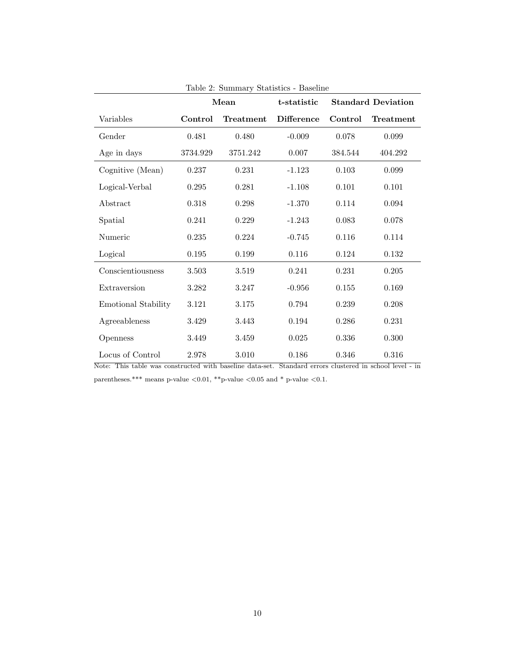|                            | Mean     |           | t-statistic       |           | <b>Standard Deviation</b> |
|----------------------------|----------|-----------|-------------------|-----------|---------------------------|
| Variables                  | Control  | Treatment | <b>Difference</b> | Control   | Treatment                 |
| Gender                     | 0.481    | 0.480     | $-0.009$          | 0.078     | 0.099                     |
| Age in days                | 3734.929 | 3751.242  | 0.007             | 384.544   | 404.292                   |
| Cognitive (Mean)           | 0.237    | 0.231     | $-1.123$          | $0.103\,$ | $\,0.099\,$               |
| Logical-Verbal             | 0.295    | 0.281     | $-1.108$          | 0.101     | 0.101                     |
| Abstract                   | 0.318    | $0.298\,$ | $-1.370$          | 0.114     | 0.094                     |
| Spatial                    | 0.241    | 0.229     | $-1.243$          | 0.083     | 0.078                     |
| Numeric                    | 0.235    | 0.224     | $-0.745$          | 0.116     | 0.114                     |
| Logical                    | 0.195    | 0.199     | 0.116             | 0.124     | $0.132\,$                 |
| Conscientiousness          | 3.503    | 3.519     | 0.241             | 0.231     | 0.205                     |
| Extraversion               | 3.282    | 3.247     | $-0.956$          | 0.155     | 0.169                     |
| <b>Emotional Stability</b> | 3.121    | 3.175     | 0.794             | 0.239     | 0.208                     |
| Agreeableness              | 3.429    | 3.443     | 0.194             | 0.286     | 0.231                     |
| Openness                   | 3.449    | 3.459     | $0.025\,$         | 0.336     | $0.300\,$                 |
| Locus of Control           | 2.978    | 3.010     | 0.186             | $0.346\,$ | $0.316\,$                 |

Table 2: Summary Statistics - Baseline

Note: This table was constructed with baseline data-set. Standard errors clustered in school level - in

parentheses.\*\*\* means p-value  $<\!\!0.01,$  \*\*p-value  $<\!\!0.05$  and \* p-value  $<\!\!0.1.$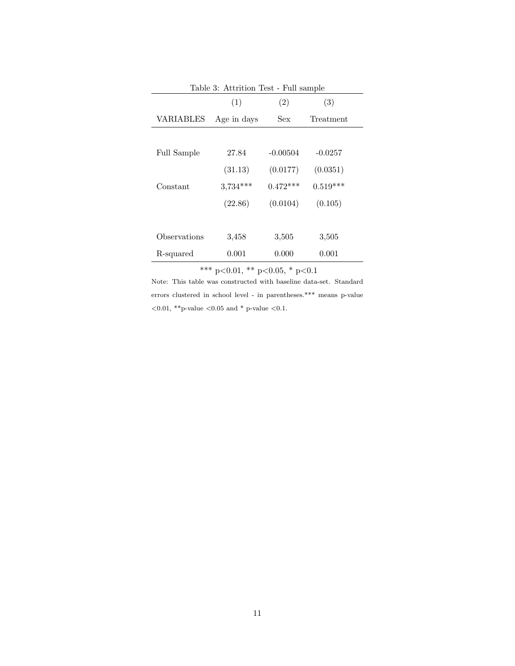| Table 3: Attrition Test - Full sample |             |            |            |  |  |  |  |  |
|---------------------------------------|-------------|------------|------------|--|--|--|--|--|
|                                       | (1)         | (2)        | (3)        |  |  |  |  |  |
| VARIABLES                             | Age in days | Sex        | Treatment  |  |  |  |  |  |
|                                       |             |            |            |  |  |  |  |  |
| <b>Full Sample</b>                    | 27.84       | $-0.00504$ | $-0.0257$  |  |  |  |  |  |
|                                       | (31.13)     | (0.0177)   | (0.0351)   |  |  |  |  |  |
| Constant                              | $3,734***$  | $0.472***$ | $0.519***$ |  |  |  |  |  |
|                                       | (22.86)     | (0.0104)   | (0.105)    |  |  |  |  |  |
|                                       |             |            |            |  |  |  |  |  |
| Observations                          | 3,458       | 3,505      | 3,505      |  |  |  |  |  |
| R-squared                             | 0.001       | 0.000      | 0.001      |  |  |  |  |  |

\*\*\* p<0.01, \*\* p<0.05, \* p<0.1

Note: This table was constructed with baseline data-set. Standard errors clustered in school level - in parentheses.\*\*\* means p-value  $<\!\!0.01,$  \*\*p-value  $<\!\!0.05$  and \* p-value  $<\!\!0.1.$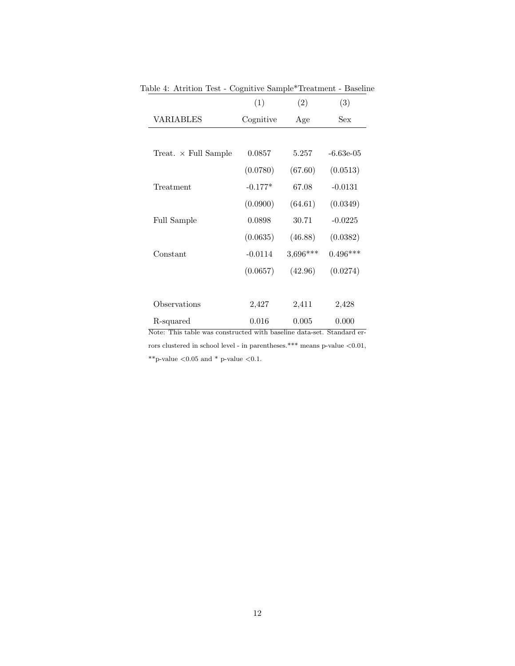|                                                                     | (1)       | (2)      | (3)                                    |
|---------------------------------------------------------------------|-----------|----------|----------------------------------------|
| <b>VARIABLES</b>                                                    | Cognitive | Age      | Sex                                    |
|                                                                     |           |          |                                        |
| Treat. $\times$ Full Sample                                         | 0.0857    | 5.257    | $-6.63e-05$                            |
|                                                                     | (0.0780)  | (67.60)  | (0.0513)                               |
| Treatment                                                           | $-0.177*$ | 67.08    | $-0.0131$                              |
|                                                                     | (0.0900)  | (64.61)  | (0.0349)                               |
| Full Sample                                                         | 0.0898    | 30.71    | $-0.0225$                              |
|                                                                     | (0.0635)  | (46.88)  | (0.0382)                               |
| Constant                                                            | $-0.0114$ | 3,696*** | $0.496***$                             |
|                                                                     | (0.0657)  | (42.96)  | (0.0274)                               |
|                                                                     |           |          |                                        |
| Observations                                                        | 2,427     | 2,411    | 2,428                                  |
| R-squared<br>Note: This table was constanted with becaling data set | 0.016     | 0.005    | 0.000<br>$C_{\text{bound}}$ and $\sim$ |

Table 4: Atrition Test - Cognitive Sample\*Treatment - Baseline

Note: This table was constructed with baseline data-set. Standard errors clustered in school level - in parentheses.\*\*\* means p-value  $<\!\!0.01,$  $^{**}\mathrm{p}\text{-}\mathrm{value}$   $<\!0.05$  and  $^{*}$  p-value  $<\!0.1.$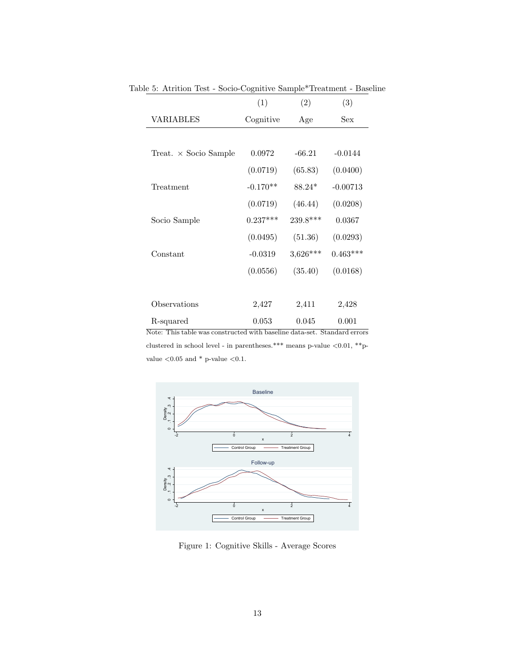|                              | (1)        | (2)        | (3)        |
|------------------------------|------------|------------|------------|
| VARIABLES                    | Cognitive  | Age        | Sex        |
|                              |            |            |            |
| $Treat. \times Socio Sample$ | 0.0972     | $-66.21$   | $-0.0144$  |
|                              | (0.0719)   | (65.83)    | (0.0400)   |
| Treatment                    | $-0.170**$ | $88.24*$   | $-0.00713$ |
|                              | (0.0719)   | (46.44)    | (0.0208)   |
| Socio Sample                 | $0.237***$ | $239.8***$ | 0.0367     |
|                              | (0.0495)   | (51.36)    | (0.0293)   |
| Constant                     | $-0.0319$  | $3,626***$ | $0.463***$ |
|                              | (0.0556)   | (35.40)    | (0.0168)   |
|                              |            |            |            |
| Observations                 | 2,427      | 2,411      | 2,428      |
| R-squared                    | 0.053      | 0.045      | 0.001      |

Table 5: Atrition Test - Socio-Cognitive Sample\*Treatment - Baseline

Note: This table was constructed with baseline data-set. Standard errors clustered in school level - in parentheses.\*\*\* means p-value  $<\!\!0.01,$  \*\*pvalue  $<\!0.05$  and \* p-value  $<\!0.1.$ 



Figure 1: Cognitive Skills - Average Scores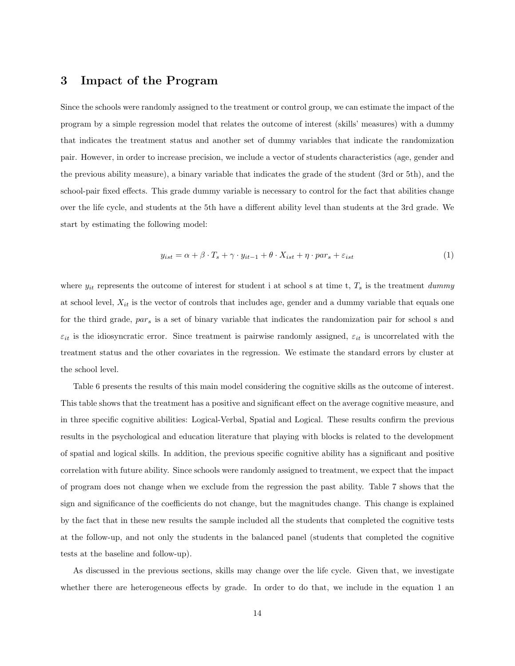### 3 Impact of the Program

Since the schools were randomly assigned to the treatment or control group, we can estimate the impact of the program by a simple regression model that relates the outcome of interest (skills' measures) with a dummy that indicates the treatment status and another set of dummy variables that indicate the randomization pair. However, in order to increase precision, we include a vector of students characteristics (age, gender and the previous ability measure), a binary variable that indicates the grade of the student (3rd or 5th), and the school-pair fixed effects. This grade dummy variable is necessary to control for the fact that abilities change over the life cycle, and students at the 5th have a different ability level than students at the 3rd grade. We start by estimating the following model:

$$
y_{ist} = \alpha + \beta \cdot T_s + \gamma \cdot y_{it-1} + \theta \cdot X_{ist} + \eta \cdot par_s + \varepsilon_{ist} \tag{1}
$$

where  $y_{it}$  represents the outcome of interest for student i at school s at time t,  $T_s$  is the treatment dummy at school level,  $X_{it}$  is the vector of controls that includes age, gender and a dummy variable that equals one for the third grade,  $par_s$  is a set of binary variable that indicates the randomization pair for school s and  $\varepsilon_{it}$  is the idiosyncratic error. Since treatment is pairwise randomly assigned,  $\varepsilon_{it}$  is uncorrelated with the treatment status and the other covariates in the regression. We estimate the standard errors by cluster at the school level.

Table 6 presents the results of this main model considering the cognitive skills as the outcome of interest. This table shows that the treatment has a positive and significant effect on the average cognitive measure, and in three specific cognitive abilities: Logical-Verbal, Spatial and Logical. These results confirm the previous results in the psychological and education literature that playing with blocks is related to the development of spatial and logical skills. In addition, the previous specific cognitive ability has a significant and positive correlation with future ability. Since schools were randomly assigned to treatment, we expect that the impact of program does not change when we exclude from the regression the past ability. Table 7 shows that the sign and significance of the coefficients do not change, but the magnitudes change. This change is explained by the fact that in these new results the sample included all the students that completed the cognitive tests at the follow-up, and not only the students in the balanced panel (students that completed the cognitive tests at the baseline and follow-up).

As discussed in the previous sections, skills may change over the life cycle. Given that, we investigate whether there are heterogeneous effects by grade. In order to do that, we include in the equation 1 an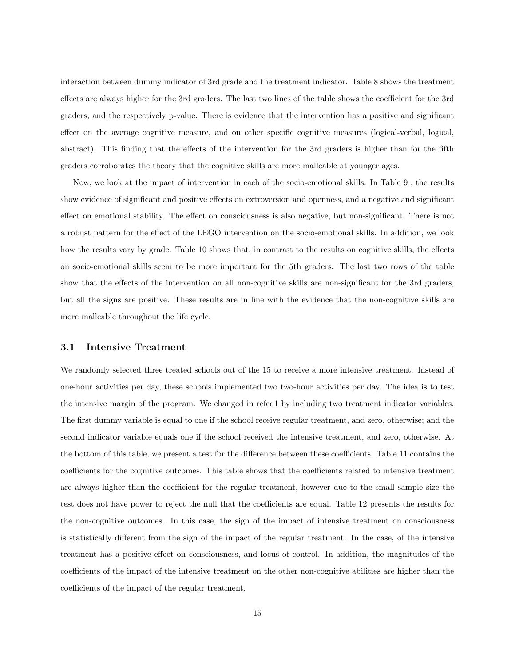interaction between dummy indicator of 3rd grade and the treatment indicator. Table 8 shows the treatment effects are always higher for the 3rd graders. The last two lines of the table shows the coefficient for the 3rd graders, and the respectively p-value. There is evidence that the intervention has a positive and significant effect on the average cognitive measure, and on other specific cognitive measures (logical-verbal, logical, abstract). This finding that the effects of the intervention for the 3rd graders is higher than for the fifth graders corroborates the theory that the cognitive skills are more malleable at younger ages.

Now, we look at the impact of intervention in each of the socio-emotional skills. In Table 9 , the results show evidence of significant and positive effects on extroversion and openness, and a negative and significant effect on emotional stability. The effect on consciousness is also negative, but non-significant. There is not a robust pattern for the effect of the LEGO intervention on the socio-emotional skills. In addition, we look how the results vary by grade. Table 10 shows that, in contrast to the results on cognitive skills, the effects on socio-emotional skills seem to be more important for the 5th graders. The last two rows of the table show that the effects of the intervention on all non-cognitive skills are non-significant for the 3rd graders, but all the signs are positive. These results are in line with the evidence that the non-cognitive skills are more malleable throughout the life cycle.

#### 3.1 Intensive Treatment

We randomly selected three treated schools out of the 15 to receive a more intensive treatment. Instead of one-hour activities per day, these schools implemented two two-hour activities per day. The idea is to test the intensive margin of the program. We changed in refeq1 by including two treatment indicator variables. The first dummy variable is equal to one if the school receive regular treatment, and zero, otherwise; and the second indicator variable equals one if the school received the intensive treatment, and zero, otherwise. At the bottom of this table, we present a test for the difference between these coefficients. Table 11 contains the coefficients for the cognitive outcomes. This table shows that the coefficients related to intensive treatment are always higher than the coefficient for the regular treatment, however due to the small sample size the test does not have power to reject the null that the coefficients are equal. Table 12 presents the results for the non-cognitive outcomes. In this case, the sign of the impact of intensive treatment on consciousness is statistically different from the sign of the impact of the regular treatment. In the case, of the intensive treatment has a positive effect on consciousness, and locus of control. In addition, the magnitudes of the coefficients of the impact of the intensive treatment on the other non-cognitive abilities are higher than the coefficients of the impact of the regular treatment.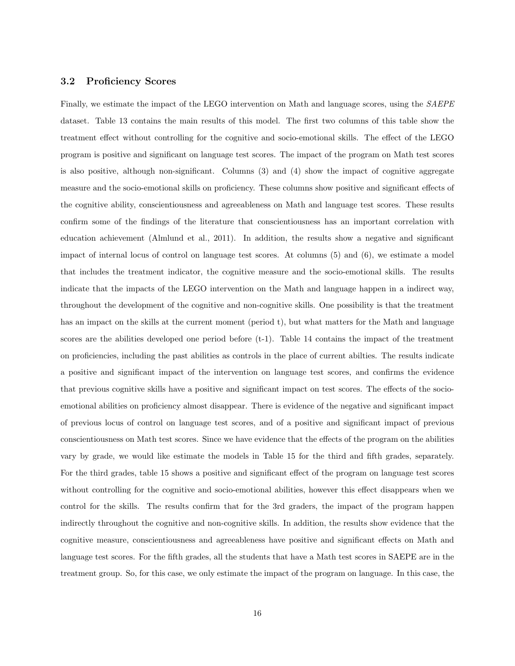#### 3.2 Proficiency Scores

Finally, we estimate the impact of the LEGO intervention on Math and language scores, using the SAEPE dataset. Table 13 contains the main results of this model. The first two columns of this table show the treatment effect without controlling for the cognitive and socio-emotional skills. The effect of the LEGO program is positive and significant on language test scores. The impact of the program on Math test scores is also positive, although non-significant. Columns (3) and (4) show the impact of cognitive aggregate measure and the socio-emotional skills on proficiency. These columns show positive and significant effects of the cognitive ability, conscientiousness and agreeableness on Math and language test scores. These results confirm some of the findings of the literature that conscientiousness has an important correlation with education achievement (Almlund et al., 2011). In addition, the results show a negative and significant impact of internal locus of control on language test scores. At columns (5) and (6), we estimate a model that includes the treatment indicator, the cognitive measure and the socio-emotional skills. The results indicate that the impacts of the LEGO intervention on the Math and language happen in a indirect way, throughout the development of the cognitive and non-cognitive skills. One possibility is that the treatment has an impact on the skills at the current moment (period t), but what matters for the Math and language scores are the abilities developed one period before (t-1). Table 14 contains the impact of the treatment on proficiencies, including the past abilities as controls in the place of current abilties. The results indicate a positive and significant impact of the intervention on language test scores, and confirms the evidence that previous cognitive skills have a positive and significant impact on test scores. The effects of the socioemotional abilities on proficiency almost disappear. There is evidence of the negative and significant impact of previous locus of control on language test scores, and of a positive and significant impact of previous conscientiousness on Math test scores. Since we have evidence that the effects of the program on the abilities vary by grade, we would like estimate the models in Table 15 for the third and fifth grades, separately. For the third grades, table 15 shows a positive and significant effect of the program on language test scores without controlling for the cognitive and socio-emotional abilities, however this effect disappears when we control for the skills. The results confirm that for the 3rd graders, the impact of the program happen indirectly throughout the cognitive and non-cognitive skills. In addition, the results show evidence that the cognitive measure, conscientiousness and agreeableness have positive and significant effects on Math and language test scores. For the fifth grades, all the students that have a Math test scores in SAEPE are in the treatment group. So, for this case, we only estimate the impact of the program on language. In this case, the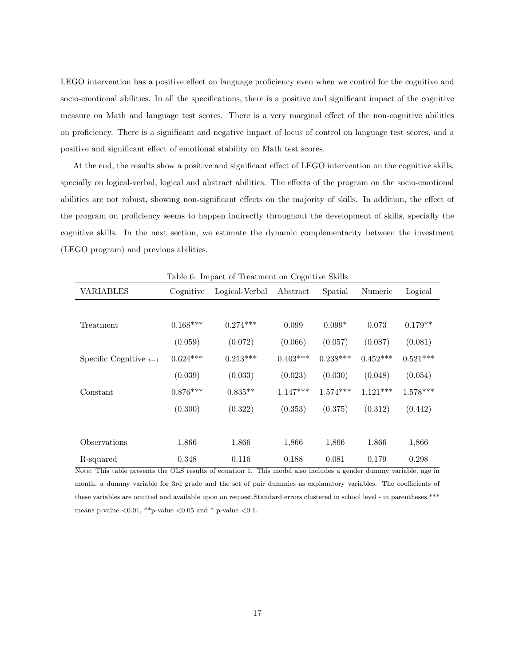LEGO intervention has a positive effect on language proficiency even when we control for the cognitive and socio-emotional abilities. In all the specifications, there is a positive and significant impact of the cognitive measure on Math and language test scores. There is a very marginal effect of the non-cognitive abilities on proficiency. There is a significant and negative impact of locus of control on language test scores, and a positive and significant effect of emotional stability on Math test scores.

At the end, the results show a positive and significant effect of LEGO intervention on the cognitive skills, specially on logical-verbal, logical and abstract abilities. The effects of the program on the socio-emotional abilities are not robust, showing non-significant effects on the majority of skills. In addition, the effect of the program on proficiency seems to happen indirectly throughout the development of skills, specially the cognitive skills. In the next section, we estimate the dynamic complementarity between the investment (LEGO program) and previous abilities.

| Table 6: Impact of Treatment on Cognitive Skills                                                                                                                                        |            |                |            |                                                                 |            |            |  |  |
|-----------------------------------------------------------------------------------------------------------------------------------------------------------------------------------------|------------|----------------|------------|-----------------------------------------------------------------|------------|------------|--|--|
| <b>VARIABLES</b>                                                                                                                                                                        | Cognitive  | Logical-Verbal | Abstract   | Spatial                                                         | Numeric    | Logical    |  |  |
|                                                                                                                                                                                         |            |                |            |                                                                 |            |            |  |  |
| Treatment                                                                                                                                                                               | $0.168***$ | $0.274***$     | 0.099      | $0.099*$                                                        | 0.073      | $0.179**$  |  |  |
|                                                                                                                                                                                         | (0.059)    | (0.072)        | (0.066)    | (0.057)                                                         | (0.087)    | (0.081)    |  |  |
| Specific Cognitive $_{t-1}$                                                                                                                                                             | $0.624***$ | $0.213***$     | $0.403***$ | $0.238***$                                                      | $0.452***$ | $0.521***$ |  |  |
|                                                                                                                                                                                         | (0.039)    | (0.033)        | (0.023)    | (0.030)                                                         | (0.048)    | (0.054)    |  |  |
| Constant                                                                                                                                                                                | $0.876***$ | $0.835**$      | $1.147***$ | $1.574***$                                                      | $1.121***$ | $1.578***$ |  |  |
|                                                                                                                                                                                         | (0.300)    | (0.322)        | (0.353)    | (0.375)                                                         | (0.312)    | (0.442)    |  |  |
|                                                                                                                                                                                         |            |                |            |                                                                 |            |            |  |  |
| Observations                                                                                                                                                                            | 1,866      | 1,866          | 1,866      | 1,866                                                           | 1,866      | 1,866      |  |  |
| R-squared<br>$\mathbf{M}$ and $\mathbf{m}$ is a set of the set of $\mathbf{M}$ of $\mathbf{C}$ is set of $\mathbf{C}$ is a set of $\mathbf{M}$ of $\mathbf{C}$ is a set of $\mathbf{M}$ | 0.348      | 0.116<br>TPL:  | 0.188      | 0.081<br>ويبيعه المتعارضين والمتعارض والمحارب والمعارض المتلاوي | 0.179      | 0.298      |  |  |

Table 6: Impact of Treatment on Cognitive Skills

Note: This table presents the OLS results of equation 1. This model also includes a gender dummy variable, age in month, a dummy variable for 3rd grade and the set of pair dummies as explanatory variables. The coefficients of these variables are omitted and available upon on request.Standard errors clustered in school level - in parentheses.\*\*\* means p-value  $\langle 0.01, **p$ -value  $\langle 0.05, *p*p \rangle$  p-value  $\langle 0.1, *p*p \rangle$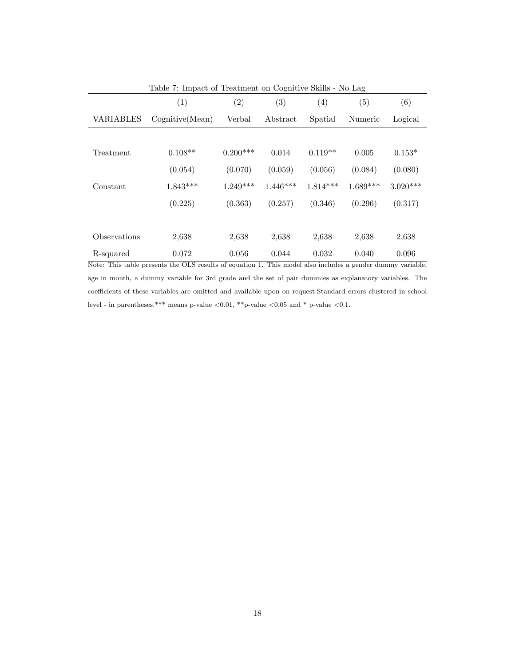|              | Table 7: Impact of Treatment on Cognitive Skills - No Lag |            |                   |            |            |            |  |  |  |
|--------------|-----------------------------------------------------------|------------|-------------------|------------|------------|------------|--|--|--|
|              | (1)                                                       | (2)        | $\left( 3\right)$ | (4)        | (5)        | (6)        |  |  |  |
| VARIABLES    | Cognitive(Mean)                                           | Verbal     | Abstract          | Spatial    | Numeric    | Logical    |  |  |  |
|              |                                                           |            |                   |            |            |            |  |  |  |
| Treatment    | $0.108**$                                                 | $0.200***$ | 0.014             | $0.119**$  | 0.005      | $0.153*$   |  |  |  |
|              | (0.054)                                                   | (0.070)    | (0.059)           | (0.056)    | (0.084)    | (0.080)    |  |  |  |
| Constant     | $1.843***$                                                | $1.249***$ | $1.446***$        | $1.814***$ | $1.689***$ | $3.020***$ |  |  |  |
|              | (0.225)                                                   | (0.363)    | (0.257)           | (0.346)    | (0.296)    | (0.317)    |  |  |  |
|              |                                                           |            |                   |            |            |            |  |  |  |
| Observations | 2,638                                                     | 2,638      | 2,638             | 2,638      | 2,638      | 2,638      |  |  |  |
| R-squared    | 0.072                                                     | 0.056      | 0.044             | 0.032      | 0.040      | 0.096      |  |  |  |

Note: This table presents the OLS results of equation 1. This model also includes a gender dummy variable, age in month, a dummy variable for 3rd grade and the set of pair dummies as explanatory variables. The coefficients of these variables are omitted and available upon on request.Standard errors clustered in school level - in parentheses.\*\*\* means p-value  $<\!\!0.01,$  \*\*p-value  $<\!\!0.05$  and \* p-value  $<\!\!0.1.$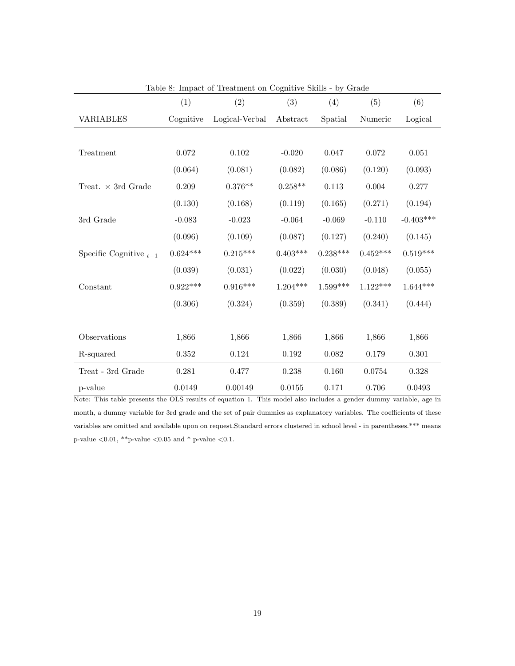| Lable 6. Hilpact of Treatment on Cognitive Dams - by Grade |            |                |            |            |            |             |
|------------------------------------------------------------|------------|----------------|------------|------------|------------|-------------|
|                                                            | (1)        | (2)            | (3)        | (4)        | (5)        | (6)         |
| <b>VARIABLES</b>                                           | Cognitive  | Logical-Verbal | Abstract   | Spatial    | Numeric    | Logical     |
|                                                            |            |                |            |            |            |             |
| Treatment                                                  | 0.072      | 0.102          | $-0.020$   | 0.047      | 0.072      | 0.051       |
|                                                            | (0.064)    | (0.081)        | (0.082)    | (0.086)    | (0.120)    | (0.093)     |
| Treat. $\times$ 3rd Grade                                  | 0.209      | $0.376**$      | $0.258**$  | 0.113      | 0.004      | 0.277       |
|                                                            | (0.130)    | (0.168)        | (0.119)    | (0.165)    | (0.271)    | (0.194)     |
| 3rd Grade                                                  | $-0.083$   | $-0.023$       | $-0.064$   | $-0.069$   | $-0.110$   | $-0.403***$ |
|                                                            | (0.096)    | (0.109)        | (0.087)    | (0.127)    | (0.240)    | (0.145)     |
| Specific Cognitive $_{t-1}$                                | $0.624***$ | $0.215***$     | $0.403***$ | $0.238***$ | $0.452***$ | $0.519***$  |
|                                                            | (0.039)    | (0.031)        | (0.022)    | (0.030)    | (0.048)    | (0.055)     |
| Constant                                                   | $0.922***$ | $0.916***$     | $1.204***$ | $1.599***$ | $1.122***$ | $1.644***$  |
|                                                            | (0.306)    | (0.324)        | (0.359)    | (0.389)    | (0.341)    | (0.444)     |
|                                                            |            |                |            |            |            |             |
| Observations                                               | 1,866      | 1,866          | 1,866      | 1,866      | 1,866      | 1,866       |
| R-squared                                                  | 0.352      | 0.124          | 0.192      | 0.082      | 0.179      | 0.301       |
| Treat - 3rd Grade                                          | 0.281      | 0.477          | 0.238      | 0.160      | 0.0754     | 0.328       |
| p-value                                                    | 0.0149     | 0.00149        | 0.0155     | 0.171      | 0.706      | 0.0493      |

Table 8: Impact of Treatment on Cognitive Skills - by Grade

Note: This table presents the OLS results of equation 1. This model also includes a gender dummy variable, age in month, a dummy variable for 3rd grade and the set of pair dummies as explanatory variables. The coefficients of these variables are omitted and available upon on request.Standard errors clustered in school level - in parentheses.\*\*\* means p-value  $<\!\!0.01,$  \*\*p-value  $<\!\!0.05$  and \* p-value  $<\!\!0.1.$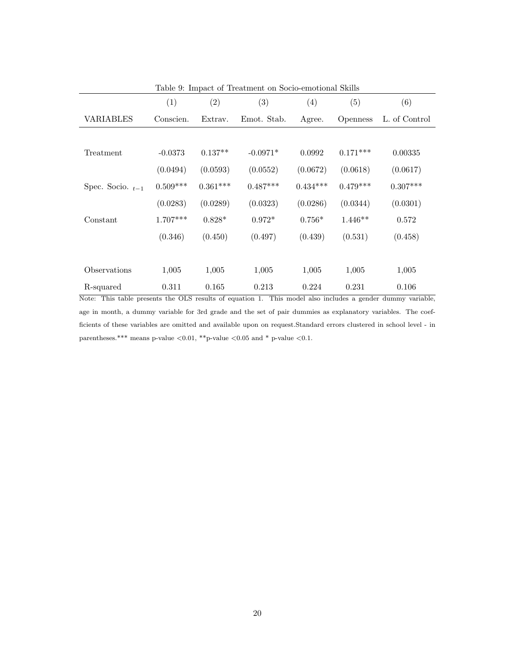| Table 9: Impact of Treatment on Socio-emotional Skills |            |                   |             |            |                 |               |  |  |  |
|--------------------------------------------------------|------------|-------------------|-------------|------------|-----------------|---------------|--|--|--|
|                                                        | (1)        | $\left( 2\right)$ | (3)         | (4)        | (5)             | (6)           |  |  |  |
| VARIABLES                                              | Conscien.  | Extrav.           | Emot. Stab. | Agree.     | <i>Openness</i> | L. of Control |  |  |  |
|                                                        |            |                   |             |            |                 |               |  |  |  |
| Treatment                                              | $-0.0373$  | $0.137**$         | $-0.0971*$  | 0.0992     | $0.171***$      | 0.00335       |  |  |  |
|                                                        | (0.0494)   | (0.0593)          | (0.0552)    | (0.0672)   | (0.0618)        | (0.0617)      |  |  |  |
| Spec. Socio. $_{t-1}$                                  | $0.509***$ | $0.361***$        | $0.487***$  | $0.434***$ | $0.479***$      | $0.307***$    |  |  |  |
|                                                        | (0.0283)   | (0.0289)          | (0.0323)    | (0.0286)   | (0.0344)        | (0.0301)      |  |  |  |
| Constant                                               | $1.707***$ | $0.828*$          | $0.972*$    | $0.756*$   | $1.446**$       | 0.572         |  |  |  |
|                                                        | (0.346)    | (0.450)           | (0.497)     | (0.439)    | (0.531)         | (0.458)       |  |  |  |
|                                                        |            |                   |             |            |                 |               |  |  |  |
| Observations                                           | 1,005      | 1,005             | 1,005       | 1,005      | 1,005           | 1,005         |  |  |  |
| R-squared                                              | 0.311      | 0.165             | 0.213       | 0.224      | 0.231           | 0.106         |  |  |  |

Note: This table presents the OLS results of equation 1. This model also includes a gender dummy variable, age in month, a dummy variable for 3rd grade and the set of pair dummies as explanatory variables. The coefficients of these variables are omitted and available upon on request.Standard errors clustered in school level - in parentheses.\*\*\* means p-value  $<\!\!0.01,$  \*\*p-value  $<\!\!0.05$  and \* p-value  $<\!\!0.1.$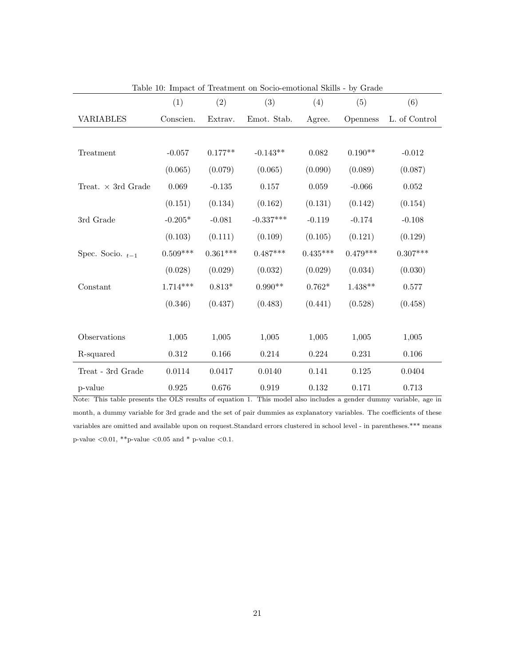| Lable 10. Impact of Treatment on Socio-emotional Skins - by Graue |            |            |             |            |            |               |
|-------------------------------------------------------------------|------------|------------|-------------|------------|------------|---------------|
|                                                                   | (1)        | (2)        | (3)         | (4)        | (5)        | (6)           |
| <b>VARIABLES</b>                                                  | Conscien.  | Extrav.    | Emot. Stab. | Agree.     | Openness   | L. of Control |
|                                                                   |            |            |             |            |            |               |
| Treatment                                                         | $-0.057$   | $0.177**$  | $-0.143**$  | 0.082      | $0.190**$  | $-0.012$      |
|                                                                   | (0.065)    | (0.079)    | (0.065)     | (0.090)    | (0.089)    | (0.087)       |
| Treat. $\times$ 3rd Grade                                         | 0.069      | $-0.135$   | $0.157\,$   | 0.059      | $-0.066$   | 0.052         |
|                                                                   | (0.151)    | (0.134)    | (0.162)     | (0.131)    | (0.142)    | (0.154)       |
| 3rd Grade                                                         | $-0.205*$  | $-0.081$   | $-0.337***$ | $-0.119$   | $-0.174$   | $-0.108$      |
|                                                                   | (0.103)    | (0.111)    | (0.109)     | (0.105)    | (0.121)    | (0.129)       |
| Spec. Socio. $_{t-1}$                                             | $0.509***$ | $0.361***$ | $0.487***$  | $0.435***$ | $0.479***$ | $0.307***$    |
|                                                                   | (0.028)    | (0.029)    | (0.032)     | (0.029)    | (0.034)    | (0.030)       |
| Constant                                                          | $1.714***$ | $0.813*$   | $0.990**$   | $0.762*$   | $1.438**$  | 0.577         |
|                                                                   | (0.346)    | (0.437)    | (0.483)     | (0.441)    | (0.528)    | (0.458)       |
|                                                                   |            |            |             |            |            |               |
| Observations                                                      | 1,005      | 1,005      | 1,005       | 1,005      | 1,005      | 1,005         |
| R-squared                                                         | 0.312      | 0.166      | 0.214       | 0.224      | 0.231      | 0.106         |
| Treat - 3rd Grade                                                 | 0.0114     | 0.0417     | 0.0140      | 0.141      | 0.125      | 0.0404        |
| p-value                                                           | 0.925      | 0.676      | 0.919       | 0.132      | 0.171      | 0.713         |

Table 10: Impact of Treatment on Socio-emotional Skills - by Grade

Note: This table presents the OLS results of equation 1. This model also includes a gender dummy variable, age in month, a dummy variable for 3rd grade and the set of pair dummies as explanatory variables. The coefficients of these variables are omitted and available upon on request.Standard errors clustered in school level - in parentheses.\*\*\* means p-value  $<\!\!0.01,$  \*\*p-value  $<\!\!0.05$  and \* p-value  $<\!\!0.1.$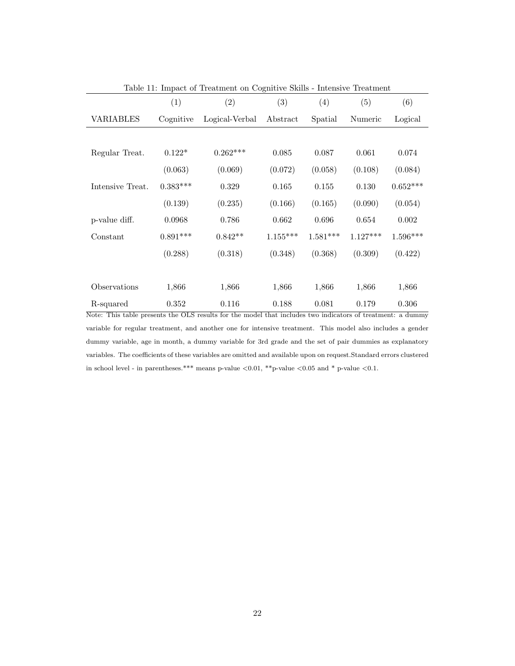| Table 11: Impact of Treatment on Cognitive Skills - Intensive Treatment |            |                |            |            |            |                 |  |  |
|-------------------------------------------------------------------------|------------|----------------|------------|------------|------------|-----------------|--|--|
|                                                                         | (1)        | (2)            | (3)        | (4)        | (5)        | (6)             |  |  |
| VARIABLES                                                               | Cognitive  | Logical-Verbal | Abstract   | Spatial    | Numeric    | Logical         |  |  |
|                                                                         |            |                |            |            |            |                 |  |  |
| Regular Treat.                                                          | $0.122*$   | $0.262***$     | 0.085      | 0.087      | 0.061      | 0.074           |  |  |
|                                                                         | (0.063)    | (0.069)        | (0.072)    | (0.058)    | (0.108)    | (0.084)         |  |  |
| Intensive Treat.                                                        | $0.383***$ | 0.329          | 0.165      | 0.155      | 0.130      | $0.652^{***}\,$ |  |  |
|                                                                         | (0.139)    | (0.235)        | (0.166)    | (0.165)    | (0.090)    | (0.054)         |  |  |
| p-value diff.                                                           | 0.0968     | 0.786          | 0.662      | 0.696      | 0.654      | 0.002           |  |  |
| Constant                                                                | $0.891***$ | $0.842**$      | $1.155***$ | $1.581***$ | $1.127***$ | $1.596***$      |  |  |
|                                                                         | (0.288)    | (0.318)        | (0.348)    | (0.368)    | (0.309)    | (0.422)         |  |  |
|                                                                         |            |                |            |            |            |                 |  |  |
| Observations                                                            | 1,866      | 1,866          | 1,866      | 1,866      | 1,866      | 1,866           |  |  |
| R-squared                                                               | 0.352      | 0.116          | 0.188      | 0.081      | 0.179      | 0.306           |  |  |

Note: This table presents the OLS results for the model that includes two indicators of treatment: a dummy variable for regular treatment, and another one for intensive treatment. This model also includes a gender dummy variable, age in month, a dummy variable for 3rd grade and the set of pair dummies as explanatory variables. The coefficients of these variables are omitted and available upon on request.Standard errors clustered in school level - in parentheses.\*\*\* means p-value  $\langle 0.01,$  \*\*p-value  $\langle 0.05 \text{ and }$  \* p-value  $\langle 0.1.$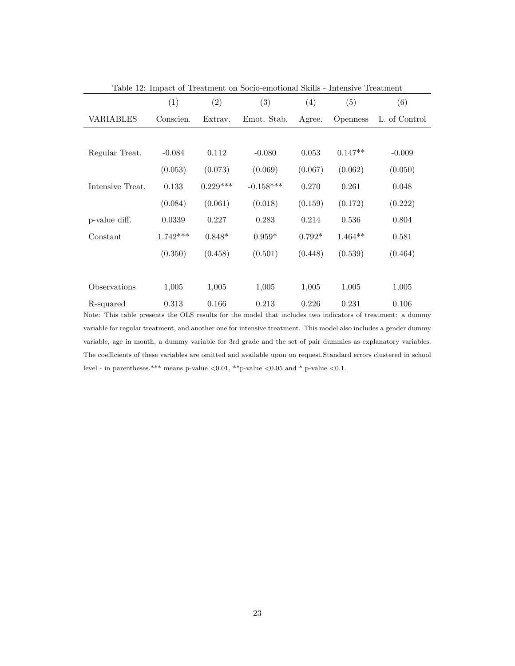| Table 12: Impact of Treatment on Socio-emotional Skills - Intensive Treatment |            |            |             |          |                 |               |  |  |  |
|-------------------------------------------------------------------------------|------------|------------|-------------|----------|-----------------|---------------|--|--|--|
|                                                                               | (1)        | (2)        | (3)         | (4)      | (5)             | (6)           |  |  |  |
| VARIABLES                                                                     | Conscien.  | Extrav.    | Emot. Stab. | Agree.   | <i>Openness</i> | L. of Control |  |  |  |
|                                                                               |            |            |             |          |                 |               |  |  |  |
| Regular Treat.                                                                | $-0.084$   | 0.112      | $-0.080$    | 0.053    | $0.147**$       | $-0.009$      |  |  |  |
|                                                                               | (0.053)    | (0.073)    | (0.069)     | (0.067)  | (0.062)         | (0.050)       |  |  |  |
| Intensive Treat.                                                              | 0.133      | $0.229***$ | $-0.158***$ | 0.270    | 0.261           | 0.048         |  |  |  |
|                                                                               | (0.084)    | (0.061)    | (0.018)     | (0.159)  | (0.172)         | (0.222)       |  |  |  |
| p-value diff.                                                                 | 0.0339     | 0.227      | 0.283       | 0.214    | 0.536           | 0.804         |  |  |  |
| Constant                                                                      | $1.742***$ | $0.848*$   | $0.959*$    | $0.792*$ | $1.464**$       | 0.581         |  |  |  |
|                                                                               | (0.350)    | (0.458)    | (0.501)     | (0.448)  | (0.539)         | (0.464)       |  |  |  |
|                                                                               |            |            |             |          |                 |               |  |  |  |
| Observations                                                                  | 1,005      | 1,005      | 1,005       | 1,005    | 1,005           | 1,005         |  |  |  |
| R-squared                                                                     | 0.313      | 0.166      | 0.213       | 0.226    | 0.231           | 0.106         |  |  |  |

Note: This table presents the OLS results for the model that includes two indicators of treatment: a dummy variable for regular treatment, and another one for intensive treatment. This model also includes a gender dummy variable, age in month, a dummy variable for 3rd grade and the set of pair dummies as explanatory variables. The coefficients of these variables are omitted and available upon on request.Standard errors clustered in school level - in parentheses.\*\*\* means p-value  $<\!\!0.01,$  \*\*p-value  $<\!\!0.05$  and \* p-value  $<\!\!0.1.$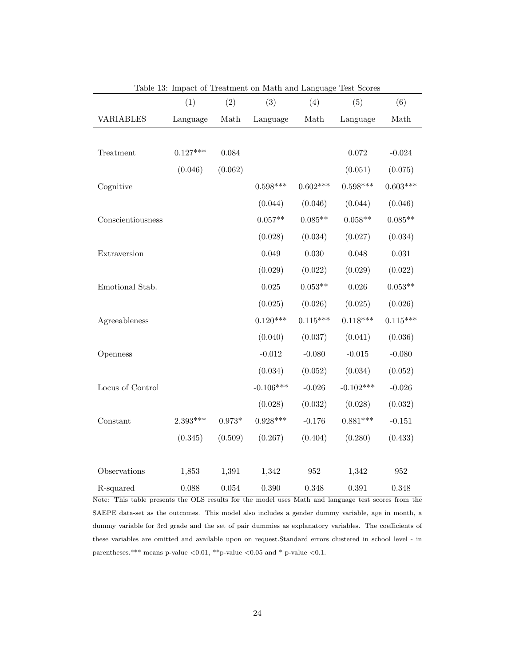|                   |            |          |             |                                                                                      | Table 10. Impact of Ireatment on math and Banguage Test bestep |             |
|-------------------|------------|----------|-------------|--------------------------------------------------------------------------------------|----------------------------------------------------------------|-------------|
|                   | (1)        | (2)      | (3)         | (4)                                                                                  | (5)                                                            | (6)         |
| <b>VARIABLES</b>  | Language   | Math     | Language    | $\operatorname*{Math}% \left( X\right) \equiv\operatorname*{Mat}% \left( X\right) ,$ | Language                                                       | Math        |
|                   |            |          |             |                                                                                      |                                                                |             |
| Treatment         | $0.127***$ | 0.084    |             |                                                                                      | 0.072                                                          | $-0.024$    |
|                   | (0.046)    | (0.062)  |             |                                                                                      | (0.051)                                                        | (0.075)     |
| Cognitive         |            |          | $0.598***$  | $0.602***$                                                                           | $0.598***$                                                     | $0.603***$  |
|                   |            |          | (0.044)     | (0.046)                                                                              | (0.044)                                                        | (0.046)     |
| Conscientiousness |            |          | $0.057**$   | $0.085**$                                                                            | $0.058**$                                                      | $0.085**$   |
|                   |            |          | (0.028)     | (0.034)                                                                              | (0.027)                                                        | (0.034)     |
| Extraversion      |            |          | 0.049       | 0.030                                                                                | 0.048                                                          | $\,0.031\,$ |
|                   |            |          | (0.029)     | (0.022)                                                                              | (0.029)                                                        | (0.022)     |
| Emotional Stab.   |            |          | 0.025       | $0.053**$                                                                            | 0.026                                                          | $0.053**$   |
|                   |            |          | (0.025)     | (0.026)                                                                              | (0.025)                                                        | (0.026)     |
| Agreeableness     |            |          | $0.120***$  | $0.115***$                                                                           | $0.118***$                                                     | $0.115***$  |
|                   |            |          | (0.040)     | (0.037)                                                                              | (0.041)                                                        | (0.036)     |
| Openness          |            |          | $-0.012$    | $-0.080$                                                                             | $-0.015$                                                       | $-0.080$    |
|                   |            |          | (0.034)     | (0.052)                                                                              | (0.034)                                                        | (0.052)     |
| Locus of Control  |            |          | $-0.106***$ | $-0.026$                                                                             | $-0.102***$                                                    | $-0.026$    |
|                   |            |          | (0.028)     | (0.032)                                                                              | (0.028)                                                        | (0.032)     |
| Constant          | $2.393***$ | $0.973*$ | $0.928***$  | $-0.176$                                                                             | $0.881***$                                                     | $-0.151$    |
|                   | (0.345)    | (0.509)  | (0.267)     | (0.404)                                                                              | (0.280)                                                        | (0.433)     |
|                   |            |          |             |                                                                                      |                                                                |             |
| Observations      | 1,853      | 1,391    | 1,342       | 952                                                                                  | 1,342                                                          | 952         |
| R-squared         | 0.088      | 0.054    | 0.390       | 0.348                                                                                | 0.391                                                          | 0.348       |

Table 13: Impact of Treatment on Math and Language Test Scores

Note: This table presents the OLS results for the model uses Math and language test scores from the SAEPE data-set as the outcomes. This model also includes a gender dummy variable, age in month, a dummy variable for 3rd grade and the set of pair dummies as explanatory variables. The coefficients of these variables are omitted and available upon on request.Standard errors clustered in school level - in parentheses.\*\*\* means p-value  $<\!\!0.01,$  \*\*p-value  $<\!\!0.05$  and \* p-value  $<\!\!0.1.$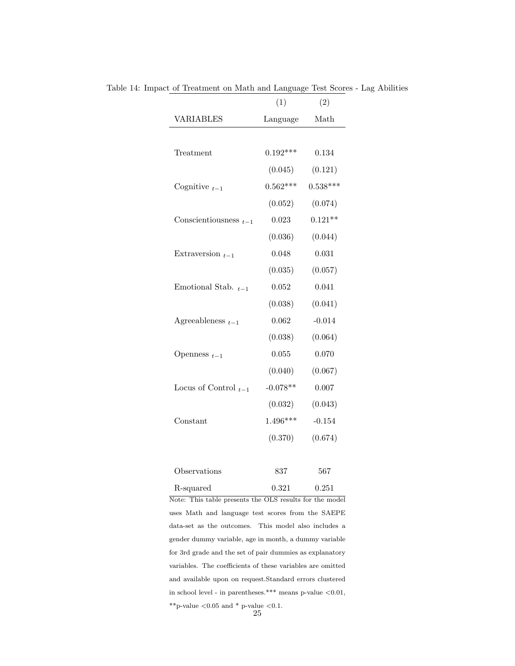|                            | (1)        | (2)        |
|----------------------------|------------|------------|
| <b>VARIABLES</b>           | Language   | Math       |
|                            |            |            |
| Treatment                  | $0.192***$ | 0.134      |
|                            | (0.045)    | (0.121)    |
| Cognitive $_{t-1}$         | $0.562***$ | $0.538***$ |
|                            | (0.052)    | (0.074)    |
| Conscientiousness $_{t-1}$ | 0.023      | $0.121**$  |
|                            | (0.036)    | (0.044)    |
| Extraversion $_{t-1}$      | 0.048      | 0.031      |
|                            | (0.035)    | (0.057)    |
| Emotional Stab. $_{t-1}$   | 0.052      | 0.041      |
|                            | (0.038)    | (0.041)    |
| Agreeableness $_{t-1}$     | 0.062      | $-0.014$   |
|                            | (0.038)    | (0.064)    |
| Openness $_{t-1}$          | 0.055      | 0.070      |
|                            | (0.040)    | (0.067)    |
| Locus of Control $_{t-1}$  | $-0.078**$ | 0.007      |
|                            | (0.032)    | (0.043)    |
| Constant                   | $1.496***$ | $-0.154$   |
|                            | (0.370)    | (0.674)    |
|                            |            |            |
|                            |            |            |

Table 14: Impact of Treatment on Math and Language Test Scores - Lag Abilities

| <i>Observations</i>                                     | 837   | 567   |
|---------------------------------------------------------|-------|-------|
| R-squared                                               | 0.321 | 0.251 |
| Note: This table presents the OLS results for the model |       |       |

uses Math and language test scores from the SAEPE data-set as the outcomes. This model also includes a gender dummy variable, age in month, a dummy variable for 3rd grade and the set of pair dummies as explanatory variables. The coefficients of these variables are omitted and available upon on request.Standard errors clustered in school level - in parentheses.\*\*\* means p-value  $< 0.01$ ,  $^{\ast\ast} \textrm{p-value}$   $<\!0.05$  and  $^{\ast}$  p-value  $<\!0.1.$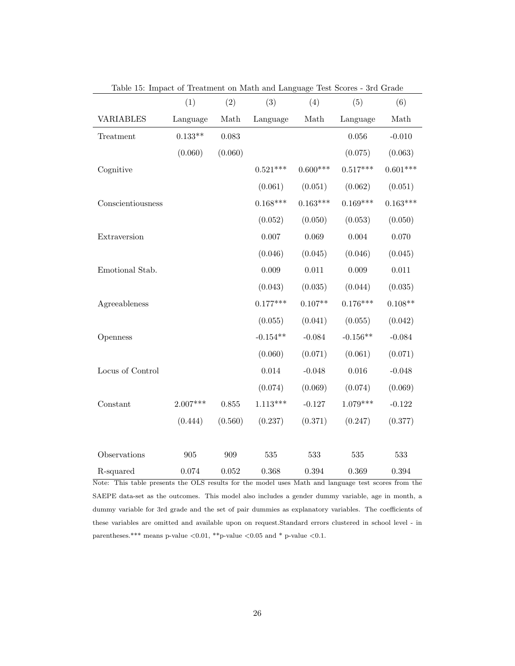|                   | (1)        | (2)     | (3)        | (4)        | (5)        | (6)        |
|-------------------|------------|---------|------------|------------|------------|------------|
| <b>VARIABLES</b>  | Language   | Math    | Language   | Math       | Language   | Math       |
| Treatment         | $0.133**$  | 0.083   |            |            | 0.056      | $-0.010$   |
|                   | (0.060)    | (0.060) |            |            | (0.075)    | (0.063)    |
| Cognitive         |            |         | $0.521***$ | $0.600***$ | $0.517***$ | $0.601***$ |
|                   |            |         | (0.061)    | (0.051)    | (0.062)    | (0.051)    |
| Conscientiousness |            |         | $0.168***$ | $0.163***$ | $0.169***$ | $0.163***$ |
|                   |            |         | (0.052)    | (0.050)    | (0.053)    | (0.050)    |
| Extraversion      |            |         | 0.007      | 0.069      | 0.004      | 0.070      |
|                   |            |         | (0.046)    | (0.045)    | (0.046)    | (0.045)    |
| Emotional Stab.   |            |         | 0.009      | 0.011      | 0.009      | $0.011\,$  |
|                   |            |         | (0.043)    | (0.035)    | (0.044)    | (0.035)    |
| Agreeableness     |            |         | $0.177***$ | $0.107**$  | $0.176***$ | $0.108**$  |
|                   |            |         | (0.055)    | (0.041)    | (0.055)    | (0.042)    |
| Openness          |            |         | $-0.154**$ | $-0.084$   | $-0.156**$ | $-0.084$   |
|                   |            |         | (0.060)    | (0.071)    | (0.061)    | (0.071)    |
| Locus of Control  |            |         | 0.014      | $-0.048$   | 0.016      | $-0.048$   |
|                   |            |         | (0.074)    | (0.069)    | (0.074)    | (0.069)    |
| Constant          | $2.007***$ | 0.855   | $1.113***$ | $-0.127$   | $1.079***$ | $-0.122$   |
|                   | (0.444)    | (0.560) | (0.237)    | (0.371)    | (0.247)    | (0.377)    |
|                   |            |         |            |            |            |            |
| Observations      | 905        | 909     | 535        | 533        | 535        | 533        |
| R-squared         | 0.074      | 0.052   | 0.368      | 0.394      | 0.369      | 0.394      |

Table 15: Impact of Treatment on Math and Language Test Scores - 3rd Grade

Note: This table presents the OLS results for the model uses Math and language test scores from the SAEPE data-set as the outcomes. This model also includes a gender dummy variable, age in month, a dummy variable for 3rd grade and the set of pair dummies as explanatory variables. The coefficients of these variables are omitted and available upon on request.Standard errors clustered in school level - in parentheses.\*\*\* means p-value  $<\!\!0.01,$  \*\*p-value  $<\!\!0.05$  and \* p-value  $<\!\!0.1.$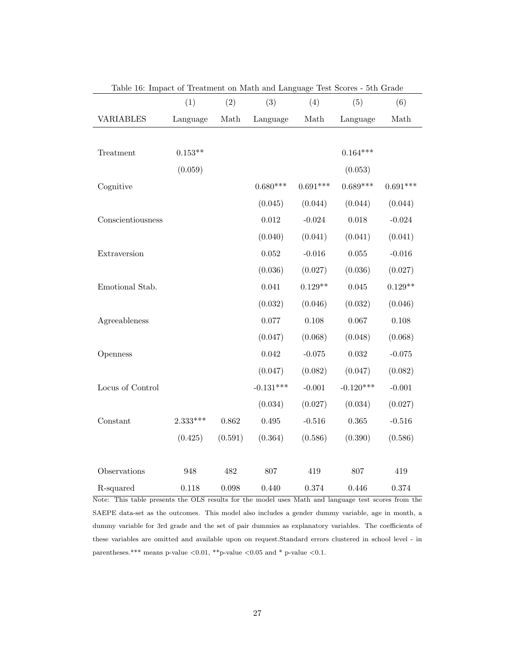| Table 10. Impact of Treatment on Math and Danguage Test Scores |            |         |             |                                                                                      |             |            |
|----------------------------------------------------------------|------------|---------|-------------|--------------------------------------------------------------------------------------|-------------|------------|
|                                                                | (1)        | (2)     | (3)         | (4)                                                                                  | (5)         | (6)        |
| <b>VARIABLES</b>                                               | Language   | Math    | Language    | $\operatorname*{Math}% \left( X\right) \equiv\operatorname*{Mat}% \left( X\right) ,$ | Language    | Math       |
|                                                                |            |         |             |                                                                                      |             |            |
| Treatment                                                      | $0.153**$  |         |             |                                                                                      | $0.164***$  |            |
|                                                                | (0.059)    |         |             |                                                                                      | (0.053)     |            |
| Cognitive                                                      |            |         | $0.680***$  | $0.691***$                                                                           | $0.689***$  | $0.691***$ |
|                                                                |            |         | (0.045)     | (0.044)                                                                              | (0.044)     | (0.044)    |
| Conscientiousness                                              |            |         | 0.012       | $-0.024$                                                                             | 0.018       | $-0.024$   |
|                                                                |            |         | (0.040)     | (0.041)                                                                              | (0.041)     | (0.041)    |
| Extraversion                                                   |            |         | 0.052       | $-0.016$                                                                             | $0.055\,$   | $-0.016$   |
|                                                                |            |         | (0.036)     | (0.027)                                                                              | (0.036)     | (0.027)    |
| Emotional Stab.                                                |            |         | 0.041       | $0.129**$                                                                            | 0.045       | $0.129**$  |
|                                                                |            |         | (0.032)     | (0.046)                                                                              | (0.032)     | (0.046)    |
| Agreeableness                                                  |            |         | 0.077       | 0.108                                                                                | 0.067       | $0.108\,$  |
|                                                                |            |         | (0.047)     | (0.068)                                                                              | (0.048)     | (0.068)    |
| Openness                                                       |            |         | 0.042       | $-0.075$                                                                             | 0.032       | $-0.075$   |
|                                                                |            |         | (0.047)     | (0.082)                                                                              | (0.047)     | (0.082)    |
| Locus of Control                                               |            |         | $-0.131***$ | $-0.001$                                                                             | $-0.120***$ | $-0.001$   |
|                                                                |            |         | (0.034)     | (0.027)                                                                              | (0.034)     | (0.027)    |
| Constant                                                       | $2.333***$ | 0.862   | 0.495       | $-0.516$                                                                             | $\,0.365\,$ | $-0.516$   |
|                                                                | (0.425)    | (0.591) | (0.364)     | (0.586)                                                                              | (0.390)     | (0.586)    |
|                                                                |            |         |             |                                                                                      |             |            |
| Observations                                                   | 948        | 482     | 807         | 419                                                                                  | 807         | 419        |
| R-squared                                                      | 0.118      | 0.098   | 0.440       | 0.374                                                                                | 0.446       | 0.374      |

| Table 16: Impact of Treatment on Math and Language Test Scores - 5th Grade |  |  |  |  |
|----------------------------------------------------------------------------|--|--|--|--|
|----------------------------------------------------------------------------|--|--|--|--|

Note: This table presents the OLS results for the model uses Math and language test scores from the SAEPE data-set as the outcomes. This model also includes a gender dummy variable, age in month, a dummy variable for 3rd grade and the set of pair dummies as explanatory variables. The coefficients of these variables are omitted and available upon on request.Standard errors clustered in school level - in parentheses.\*\*\* means p-value  $<\!\!0.01,$  \*\*p-value  $<\!\!0.05$  and \* p-value  $<\!\!0.1.$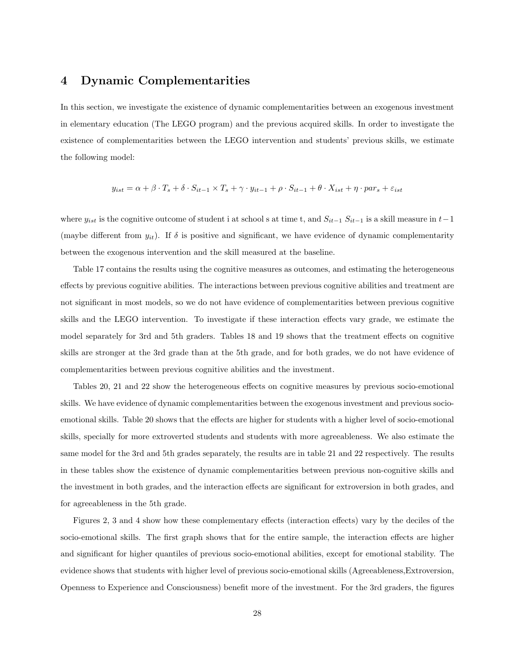### 4 Dynamic Complementarities

In this section, we investigate the existence of dynamic complementarities between an exogenous investment in elementary education (The LEGO program) and the previous acquired skills. In order to investigate the existence of complementarities between the LEGO intervention and students' previous skills, we estimate the following model:

$$
y_{ist} = \alpha + \beta \cdot T_s + \delta \cdot S_{it-1} \times T_s + \gamma \cdot y_{it-1} + \rho \cdot S_{it-1} + \theta \cdot X_{ist} + \eta \cdot par_s + \varepsilon_{ist}
$$

where  $y_{ist}$  is the cognitive outcome of student i at school s at time t, and  $S_{it-1} S_{it-1}$  is a skill measure in  $t-1$ (maybe different from  $y_{it}$ ). If  $\delta$  is positive and significant, we have evidence of dynamic complementarity between the exogenous intervention and the skill measured at the baseline.

Table 17 contains the results using the cognitive measures as outcomes, and estimating the heterogeneous effects by previous cognitive abilities. The interactions between previous cognitive abilities and treatment are not significant in most models, so we do not have evidence of complementarities between previous cognitive skills and the LEGO intervention. To investigate if these interaction effects vary grade, we estimate the model separately for 3rd and 5th graders. Tables 18 and 19 shows that the treatment effects on cognitive skills are stronger at the 3rd grade than at the 5th grade, and for both grades, we do not have evidence of complementarities between previous cognitive abilities and the investment.

Tables 20, 21 and 22 show the heterogeneous effects on cognitive measures by previous socio-emotional skills. We have evidence of dynamic complementarities between the exogenous investment and previous socioemotional skills. Table 20 shows that the effects are higher for students with a higher level of socio-emotional skills, specially for more extroverted students and students with more agreeableness. We also estimate the same model for the 3rd and 5th grades separately, the results are in table 21 and 22 respectively. The results in these tables show the existence of dynamic complementarities between previous non-cognitive skills and the investment in both grades, and the interaction effects are significant for extroversion in both grades, and for agreeableness in the 5th grade.

Figures 2, 3 and 4 show how these complementary effects (interaction effects) vary by the deciles of the socio-emotional skills. The first graph shows that for the entire sample, the interaction effects are higher and significant for higher quantiles of previous socio-emotional abilities, except for emotional stability. The evidence shows that students with higher level of previous socio-emotional skills (Agreeableness,Extroversion, Openness to Experience and Consciousness) benefit more of the investment. For the 3rd graders, the figures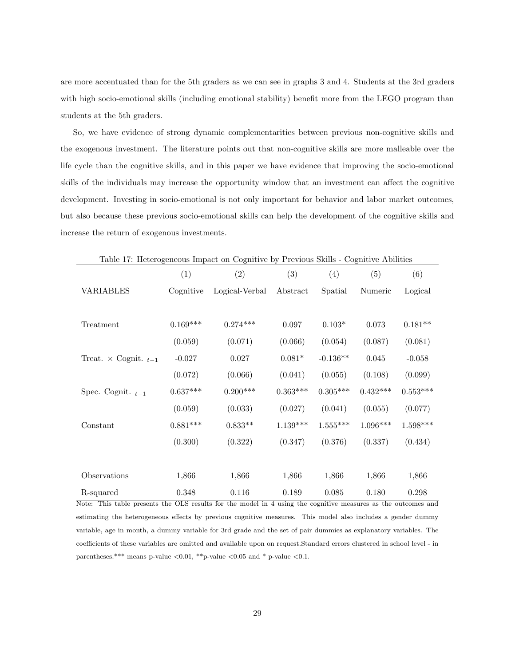are more accentuated than for the 5th graders as we can see in graphs 3 and 4. Students at the 3rd graders with high socio-emotional skills (including emotional stability) benefit more from the LEGO program than students at the 5th graders.

So, we have evidence of strong dynamic complementarities between previous non-cognitive skills and the exogenous investment. The literature points out that non-cognitive skills are more malleable over the life cycle than the cognitive skills, and in this paper we have evidence that improving the socio-emotional skills of the individuals may increase the opportunity window that an investment can affect the cognitive development. Investing in socio-emotional is not only important for behavior and labor market outcomes, but also because these previous socio-emotional skills can help the development of the cognitive skills and increase the return of exogenous investments.

|                                  |            | Ő              |            |            |            |            |
|----------------------------------|------------|----------------|------------|------------|------------|------------|
|                                  | (1)        | (2)            | (3)        | (4)        | (5)        | (6)        |
| <b>VARIABLES</b>                 | Cognitive  | Logical-Verbal | Abstract   | Spatial    | Numeric    | Logical    |
|                                  |            |                |            |            |            |            |
| Treatment                        | $0.169***$ | $0.274***$     | 0.097      | $0.103*$   | 0.073      | $0.181**$  |
|                                  | (0.059)    | (0.071)        | (0.066)    | (0.054)    | (0.087)    | (0.081)    |
| Treat. $\times$ Cognit. $_{t-1}$ | $-0.027$   | 0.027          | $0.081*$   | $-0.136**$ | $0.045\,$  | $-0.058$   |
|                                  | (0.072)    | (0.066)        | (0.041)    | (0.055)    | (0.108)    | (0.099)    |
| Spec. Cognit. $_{t-1}$           | $0.637***$ | $0.200***$     | $0.363***$ | $0.305***$ | $0.432***$ | $0.553***$ |
|                                  | (0.059)    | (0.033)        | (0.027)    | (0.041)    | (0.055)    | (0.077)    |
| Constant                         | $0.881***$ | $0.833**$      | $1.139***$ | $1.555***$ | $1.096***$ | $1.598***$ |
|                                  | (0.300)    | (0.322)        | (0.347)    | (0.376)    | (0.337)    | (0.434)    |
|                                  |            |                |            |            |            |            |
| Observations                     | 1,866      | 1,866          | 1,866      | 1,866      | 1,866      | 1,866      |
| R-squared                        | 0.348      | 0.116          | 0.189      | 0.085      | 0.180      | 0.298      |

Table 17: Heterogeneous Impact on Cognitive by Previous Skills - Cognitive Abilities

Note: This table presents the OLS results for the model in 4 using the cognitive measures as the outcomes and estimating the heterogeneous effects by previous cognitive measures. This model also includes a gender dummy variable, age in month, a dummy variable for 3rd grade and the set of pair dummies as explanatory variables. The coefficients of these variables are omitted and available upon on request.Standard errors clustered in school level - in parentheses.\*\*\* means p-value  $\langle 0.01,$ \*\*p-value  $\langle 0.05 \rangle$  and \* p-value  $\langle 0.1$ .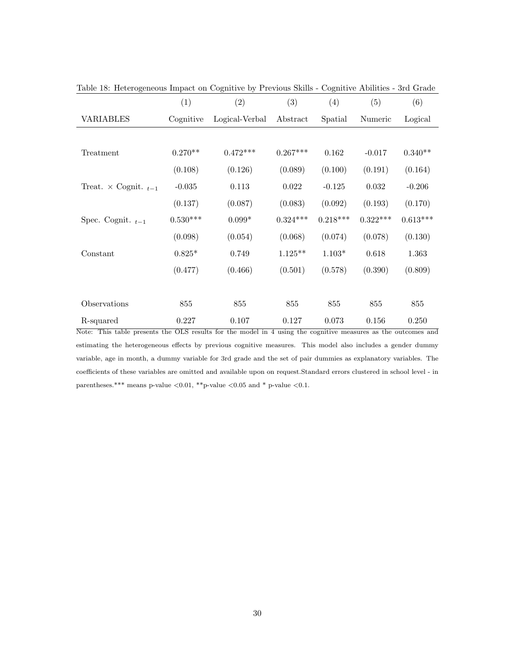|                                  | (1)             | (2)            | (3)        | (4)        | (5)        | (6)        |
|----------------------------------|-----------------|----------------|------------|------------|------------|------------|
| <b>VARIABLES</b>                 | Cognitive       | Logical-Verbal | Abstract   | Spatial    | Numeric    | Logical    |
|                                  |                 |                |            |            |            |            |
| Treatment                        | $0.270**$       | $0.472***$     | $0.267***$ | 0.162      | $-0.017$   | $0.340**$  |
|                                  | (0.108)         | (0.126)        | (0.089)    | (0.100)    | (0.191)    | (0.164)    |
| Treat. $\times$ Cognit. $_{t-1}$ | $-0.035$        | 0.113          | 0.022      | $-0.125$   | 0.032      | $-0.206$   |
|                                  | (0.137)         | (0.087)        | (0.083)    | (0.092)    | (0.193)    | (0.170)    |
| Spec. Cognit. $_{t-1}$           | $0.530^{***}\,$ | $0.099*$       | $0.324***$ | $0.218***$ | $0.322***$ | $0.613***$ |
|                                  | (0.098)         | (0.054)        | (0.068)    | (0.074)    | (0.078)    | (0.130)    |
| Constant                         | $0.825*$        | 0.749          | $1.125**$  | $1.103*$   | 0.618      | 1.363      |
|                                  | (0.477)         | (0.466)        | (0.501)    | (0.578)    | (0.390)    | (0.809)    |
|                                  |                 |                |            |            |            |            |
| Observations                     | 855             | 855            | 855        | 855        | 855        | 855        |
| R-squared                        | 0.227           | 0.107          | 0.127      | 0.073      | 0.156      | 0.250      |

Table 18: Heterogeneous Impact on Cognitive by Previous Skills - Cognitive Abilities - 3rd Grade

Note: This table presents the OLS results for the model in 4 using the cognitive measures as the outcomes and estimating the heterogeneous effects by previous cognitive measures. This model also includes a gender dummy variable, age in month, a dummy variable for 3rd grade and the set of pair dummies as explanatory variables. The coefficients of these variables are omitted and available upon on request.Standard errors clustered in school level - in parentheses.\*\*\* means p-value  $\langle 0.01,$  \*\*p-value  $\langle 0.05 \text{ and }$ \* p-value  $\langle 0.1$ .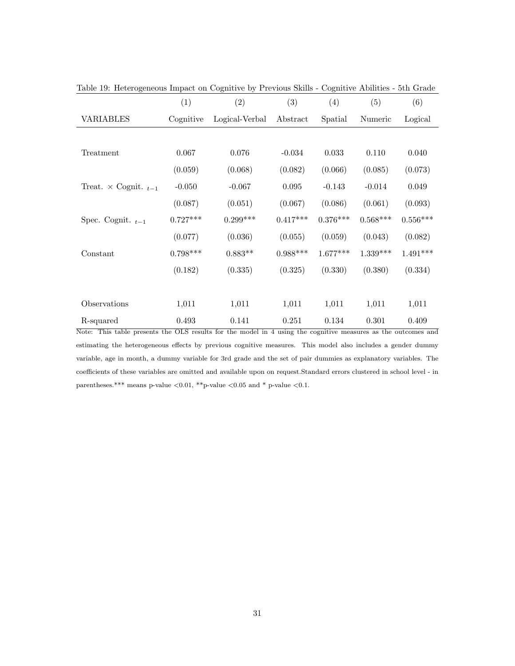|                                       | (1)                                                | (2)            | (3)        | (4)        | (5)        | (6)        |
|---------------------------------------|----------------------------------------------------|----------------|------------|------------|------------|------------|
| VARIABLES                             | Cognitive                                          | Logical-Verbal | Abstract   | Spatial    | Numeric    | Logical    |
|                                       |                                                    |                |            |            |            |            |
| Treatment                             | 0.067                                              | 0.076          | $-0.034$   | 0.033      | 0.110      | 0.040      |
|                                       | (0.059)                                            | (0.068)        | (0.082)    | (0.066)    | (0.085)    | (0.073)    |
| Treat. $\times$ Cognit. $_{t-1}$      | $-0.050$                                           | $-0.067$       | 0.095      | $-0.143$   | $-0.014$   | 0.049      |
|                                       | (0.087)                                            | (0.051)        | (0.067)    | (0.086)    | (0.061)    | (0.093)    |
| Spec. Cognit. $_{t-1}$                | $0.727***$                                         | $0.299***$     | $0.417***$ | $0.376***$ | $0.568***$ | $0.556***$ |
|                                       | (0.077)                                            | (0.036)        | (0.055)    | (0.059)    | (0.043)    | (0.082)    |
| Constant                              | $0.798***$                                         | $0.883**$      | $0.988***$ | $1.677***$ | $1.339***$ | $1.491***$ |
|                                       | (0.182)                                            | (0.335)        | (0.325)    | (0.330)    | (0.380)    | (0.334)    |
|                                       |                                                    |                |            |            |            |            |
| Observations                          | 1,011                                              | 1,011          | 1,011      | 1,011      | 1,011      | 1,011      |
| R-squared<br>$\overline{X}$<br>771.77 | 0.493<br>$\overline{\wedge}$ T $\overline{\wedge}$ | 0.141          | 0.251      | 0.134      | 0.301      | 0.409      |

Table 19: Heterogeneous Impact on Cognitive by Previous Skills - Cognitive Abilities - 5th Grade

Note: This table presents the OLS results for the model in 4 using the cognitive measures as the outcomes and estimating the heterogeneous effects by previous cognitive measures. This model also includes a gender dummy variable, age in month, a dummy variable for 3rd grade and the set of pair dummies as explanatory variables. The coefficients of these variables are omitted and available upon on request.Standard errors clustered in school level - in parentheses.\*\*\* means p-value  $<0.01$ , \*\*p-value  $<0.05$  and \* p-value  $<0.1$ .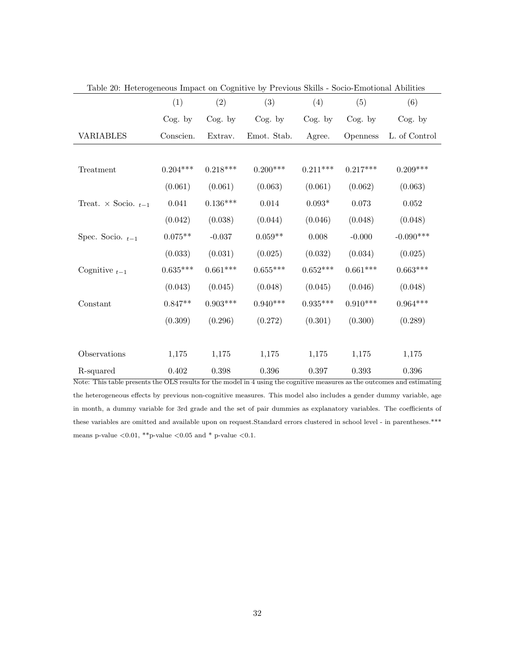| Table 20. Here ogeneous Impact on Cognitive by Trevious banis |            |            |             |            | $\sim$ pocio Emperontar Tromatos |                 |
|---------------------------------------------------------------|------------|------------|-------------|------------|----------------------------------|-----------------|
|                                                               | (1)        | (2)        | (3)         | (4)        | (5)                              | (6)             |
|                                                               | Cog. by    | Cog. by    | Cog. by     | Cog. by    | $\cos$ by                        | $\log$ , by     |
| <b>VARIABLES</b>                                              | Conscien.  | Extrav.    | Emot. Stab. | Agree.     | <i>Openness</i>                  | L. of Control   |
|                                                               |            |            |             |            |                                  |                 |
| Treatment                                                     | $0.204***$ | $0.218***$ | $0.200***$  | $0.211***$ | $0.217***$                       | $0.209***$      |
|                                                               | (0.061)    | (0.061)    | (0.063)     | (0.061)    | (0.062)                          | (0.063)         |
| Treat. $\times$ Socio. $_{t-1}$                               | 0.041      | $0.136***$ | 0.014       | $0.093*$   | 0.073                            | 0.052           |
|                                                               | (0.042)    | (0.038)    | (0.044)     | (0.046)    | (0.048)                          | (0.048)         |
| Spec. Socio. $_{t-1}$                                         | $0.075**$  | $-0.037$   | $0.059**$   | 0.008      | $-0.000$                         | $-0.090***$     |
|                                                               | (0.033)    | (0.031)    | (0.025)     | (0.032)    | (0.034)                          | (0.025)         |
| Cognitive $_{t-1}$                                            | $0.635***$ | $0.661***$ | $0.655***$  | $0.652***$ | $0.661***$                       | $0.663^{***}\,$ |
|                                                               | (0.043)    | (0.045)    | (0.048)     | (0.045)    | (0.046)                          | (0.048)         |
| Constant                                                      | $0.847**$  | $0.903***$ | $0.940***$  | $0.935***$ | $0.910***$                       | $0.964***$      |
|                                                               | (0.309)    | (0.296)    | (0.272)     | (0.301)    | (0.300)                          | (0.289)         |
|                                                               |            |            |             |            |                                  |                 |
| Observations                                                  | 1,175      | 1,175      | 1,175       | 1,175      | 1,175                            | 1,175           |
| R-squared                                                     | 0.402      | $0.398\,$  | $0.396\,$   | $0.397\,$  | 0.393                            | 0.396           |

Note: This table presents the OLS results for the model in 4 using the cognitive measures as the outcomes and estimating the heterogeneous effects by previous non-cognitive measures. This model also includes a gender dummy variable, age in month, a dummy variable for 3rd grade and the set of pair dummies as explanatory variables. The coefficients of these variables are omitted and available upon on request.Standard errors clustered in school level - in parentheses.\*\*\* means p-value  $<\!\!0.01,$  \*\*p-value  $<\!\!0.05$  and \* p-value  $<\!\!0.1.$ 

Table 20: Heterogeneous Impact on Cognitive by Previous Skills - Socio-Emotional Abilities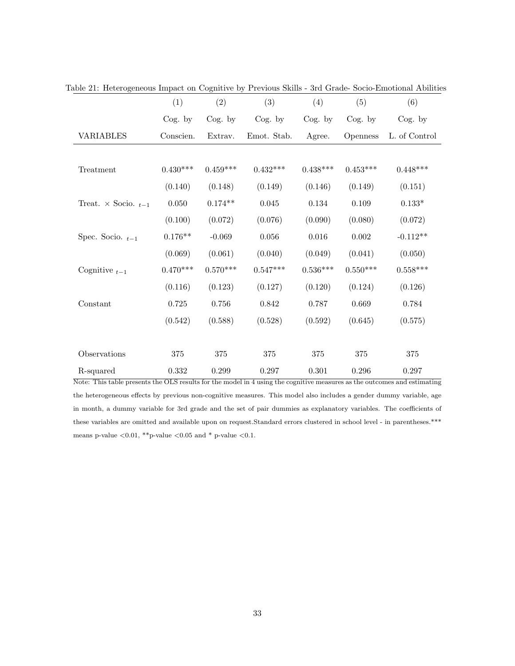|                                 | (1)        | (2)         | (3)         | (4)        | (5)        | (6)             |
|---------------------------------|------------|-------------|-------------|------------|------------|-----------------|
|                                 | $\cos$ by  | $\log$ , by | Cog. by     | $Cog.$ by  | $\cos$ by  | $\cos$ by       |
| <b>VARIABLES</b>                | Conscien.  | Extrav.     | Emot. Stab. | Agree.     | Openness   | L. of Control   |
|                                 |            |             |             |            |            |                 |
| Treatment                       | $0.430***$ | $0.459***$  | $0.432***$  | $0.438***$ | $0.453***$ | $0.448***$      |
|                                 | (0.140)    | (0.148)     | (0.149)     | (0.146)    | (0.149)    | (0.151)         |
| Treat. $\times$ Socio. $_{t-1}$ | 0.050      | $0.174**$   | $0.045\,$   | 0.134      | 0.109      | $0.133*$        |
|                                 | (0.100)    | (0.072)     | (0.076)     | (0.090)    | (0.080)    | (0.072)         |
| Spec. Socio. $_{t-1}$           | $0.176**$  | $-0.069$    | $0.056\,$   | $0.016\,$  | $0.002\,$  | $-0.112**$      |
|                                 | (0.069)    | (0.061)     | (0.040)     | (0.049)    | (0.041)    | (0.050)         |
| Cognitive $_{t-1}$              | $0.470***$ | $0.570***$  | $0.547***$  | $0.536***$ | $0.550***$ | $0.558^{***}\,$ |
|                                 | (0.116)    | (0.123)     | (0.127)     | (0.120)    | (0.124)    | (0.126)         |
| Constant                        | 0.725      | $0.756\,$   | 0.842       | 0.787      | 0.669      | 0.784           |
|                                 | (0.542)    | (0.588)     | (0.528)     | (0.592)    | (0.645)    | (0.575)         |
|                                 |            |             |             |            |            |                 |
| Observations                    | 375        | 375         | 375         | 375        | 375        | 375             |
| R-squared                       | 0.332      | 0.299       | 0.297       | 0.301      | 0.296      | 0.297           |

Table 21: Heterogeneous Impact on Cognitive by Previous Skills - 3rd Grade- Socio-Emotional Abilities

Note: This table presents the OLS results for the model in 4 using the cognitive measures as the outcomes and estimating the heterogeneous effects by previous non-cognitive measures. This model also includes a gender dummy variable, age in month, a dummy variable for 3rd grade and the set of pair dummies as explanatory variables. The coefficients of these variables are omitted and available upon on request.Standard errors clustered in school level - in parentheses.\*\*\* means p-value  $<\!\!0.01,$  \*\*p-value  $<\!\!0.05$  and \* p-value  $<\!\!0.1.$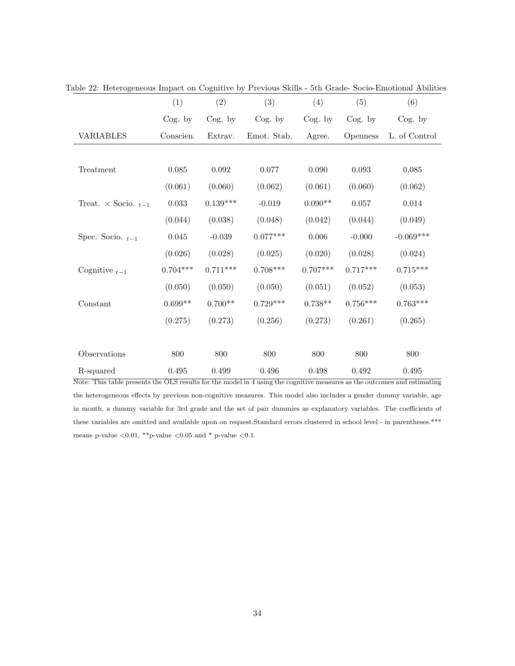|                                 | (1)         | (2)         | (3)         | (4)        | (5)             | (6)           |
|---------------------------------|-------------|-------------|-------------|------------|-----------------|---------------|
|                                 | $\cos$ by   | Cog. by     | Cog. by     | Cog. by    | $\cos$ by       | Cog. by       |
| <b>VARIABLES</b>                | Conscien.   | Extrav.     | Emot. Stab. | Agree.     | <b>Openness</b> | L. of Control |
|                                 |             |             |             |            |                 |               |
| Treatment                       | $\,0.085\,$ | $\,0.092\,$ | 0.077       | 0.090      | $\,0.093\,$     | $0.085\,$     |
|                                 | (0.061)     | (0.060)     | (0.062)     | (0.061)    | (0.060)         | (0.062)       |
| Treat. $\times$ Socio. $_{t-1}$ | 0.033       | $0.139***$  | $-0.019$    | $0.090**$  | 0.057           | 0.014         |
|                                 | (0.044)     | (0.038)     | (0.048)     | (0.042)    | (0.044)         | (0.049)       |
| Spec. Socio. $_{t-1}$           | $\,0.045\,$ | $-0.039$    | $0.077***$  | $0.006\,$  | $-0.000$        | $-0.069***$   |
|                                 | (0.026)     | (0.028)     | (0.025)     | (0.020)    | (0.028)         | (0.024)       |
| Cognitive $_{t-1}$              | $0.704***$  | $0.711***$  | $0.708***$  | $0.707***$ | $0.717***$      | $0.715***$    |
|                                 | (0.050)     | (0.050)     | (0.050)     | (0.051)    | (0.052)         | (0.053)       |
| Constant                        | $0.699**$   | $0.700**$   | $0.729***$  | $0.738**$  | $0.756***$      | $0.763***$    |
|                                 | (0.275)     | (0.273)     | (0.256)     | (0.273)    | (0.261)         | (0.265)       |
|                                 |             |             |             |            |                 |               |
| Observations                    | 800         | 800         | 800         | 800        | 800             | 800           |
| R-squared                       | 0.495       | 0.499       | 0.496       | 0.498      | 0.492           | 0.495         |

Table 22: Heterogeneous Impact on Cognitive by Previous Skills - 5th Grade- Socio-Emotional Abilities

Note: This table presents the OLS results for the model in 4 using the cognitive measures as the outcomes and estimating the heterogeneous effects by previous non-cognitive measures. This model also includes a gender dummy variable, age in month, a dummy variable for 3rd grade and the set of pair dummies as explanatory variables. The coefficients of these variables are omitted and available upon on request.Standard errors clustered in school level - in parentheses.\*\*\* means p-value  $<\!\!0.01,$  \*\*p-value  $<\!\!0.05$  and \* p-value  $<\!\!0.1.$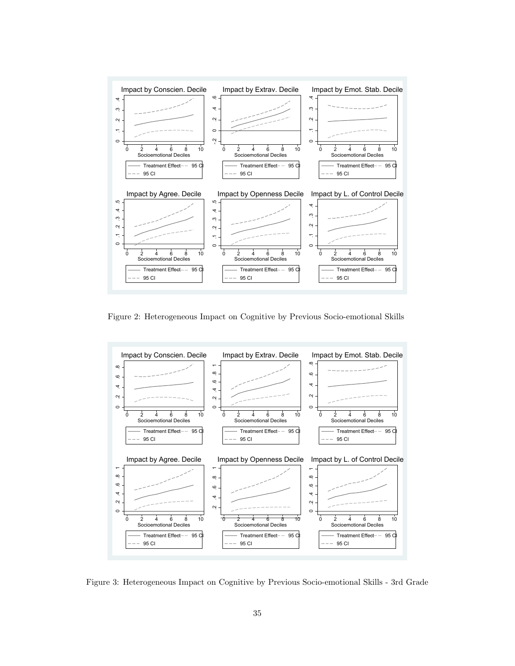

Figure 2: Heterogeneous Impact on Cognitive by Previous Socio-emotional Skills



Figure 3: Heterogeneous Impact on Cognitive by Previous Socio-emotional Skills - 3rd Grade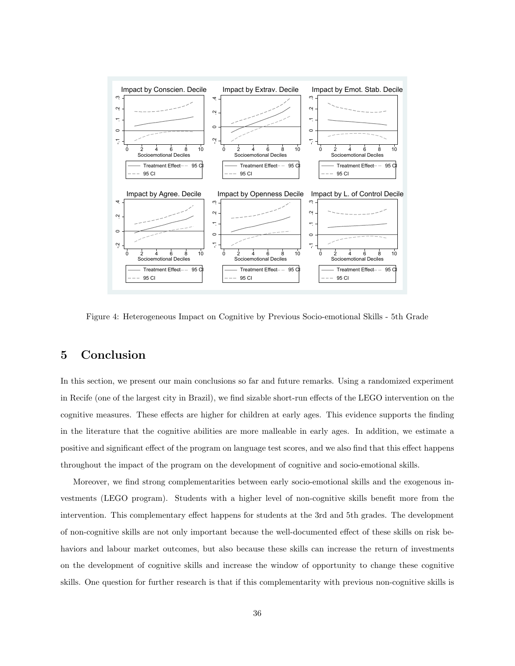

Figure 4: Heterogeneous Impact on Cognitive by Previous Socio-emotional Skills - 5th Grade

## 5 Conclusion

In this section, we present our main conclusions so far and future remarks. Using a randomized experiment in Recife (one of the largest city in Brazil), we find sizable short-run effects of the LEGO intervention on the cognitive measures. These effects are higher for children at early ages. This evidence supports the finding in the literature that the cognitive abilities are more malleable in early ages. In addition, we estimate a positive and significant effect of the program on language test scores, and we also find that this effect happens throughout the impact of the program on the development of cognitive and socio-emotional skills.

Moreover, we find strong complementarities between early socio-emotional skills and the exogenous investments (LEGO program). Students with a higher level of non-cognitive skills benefit more from the intervention. This complementary effect happens for students at the 3rd and 5th grades. The development of non-cognitive skills are not only important because the well-documented effect of these skills on risk behaviors and labour market outcomes, but also because these skills can increase the return of investments on the development of cognitive skills and increase the window of opportunity to change these cognitive skills. One question for further research is that if this complementarity with previous non-cognitive skills is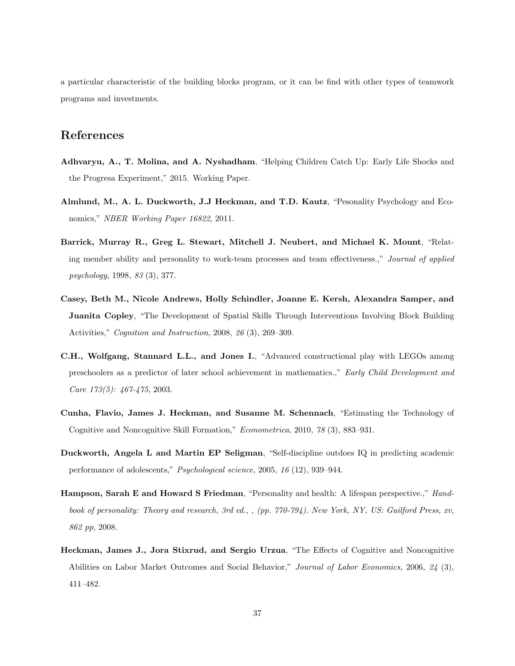a particular characteristic of the building blocks program, or it can be find with other types of teamwork programs and investments.

## References

- Adhvaryu, A., T. Molina, and A. Nyshadham, "Helping Children Catch Up: Early Life Shocks and the Progresa Experiment," 2015. Working Paper.
- Almlund, M., A. L. Duckworth, J.J Heckman, and T.D. Kautz, "Pesonality Psychology and Economics," NBER Working Paper 16822, 2011.
- Barrick, Murray R., Greg L. Stewart, Mitchell J. Neubert, and Michael K. Mount, "Relating member ability and personality to work-team processes and team effectiveness.," Journal of applied psychology, 1998, 83 (3), 377.
- Casey, Beth M., Nicole Andrews, Holly Schindler, Joanne E. Kersh, Alexandra Samper, and Juanita Copley, "The Development of Spatial Skills Through Interventions Involving Block Building Activities," Cognition and Instruction, 2008, 26 (3), 269–309.
- C.H., Wolfgang, Stannard L.L., and Jones I., "Advanced constructional play with LEGOs among preschoolers as a predictor of later school achievement in mathematics.," Early Child Development and Care 173(5): 467-475, 2003.
- Cunha, Flavio, James J. Heckman, and Susanne M. Schennach, "Estimating the Technology of Cognitive and Noncognitive Skill Formation," Econometrica, 2010, 78 (3), 883–931.
- Duckworth, Angela L and Martin EP Seligman, "Self-discipline outdoes IQ in predicting academic performance of adolescents," Psychological science, 2005, 16 (12), 939–944.
- Hampson, Sarah E and Howard S Friedman, "Personality and health: A lifespan perspective.," Handbook of personality: Theory and research, 3rd ed., , (pp. 770-794). New York, NY, US: Guilford Press, xv, 862 pp, 2008.
- Heckman, James J., Jora Stixrud, and Sergio Urzua, "The Effects of Cognitive and Noncognitive Abilities on Labor Market Outcomes and Social Behavior," Journal of Labor Economics, 2006, 24 (3), 411–482.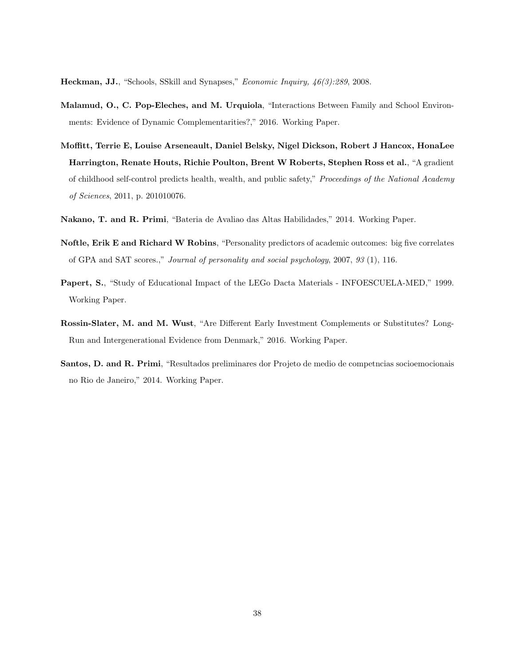Heckman, JJ., "Schools, SSkill and Synapses," Economic Inquiry, 46(3):289, 2008.

- Malamud, O., C. Pop-Eleches, and M. Urquiola, "Interactions Between Family and School Environments: Evidence of Dynamic Complementarities?," 2016. Working Paper.
- Moffitt, Terrie E, Louise Arseneault, Daniel Belsky, Nigel Dickson, Robert J Hancox, HonaLee Harrington, Renate Houts, Richie Poulton, Brent W Roberts, Stephen Ross et al., "A gradient of childhood self-control predicts health, wealth, and public safety," Proceedings of the National Academy of Sciences, 2011, p. 201010076.
- Nakano, T. and R. Primi, "Bateria de Avaliao das Altas Habilidades," 2014. Working Paper.
- Noftle, Erik E and Richard W Robins, "Personality predictors of academic outcomes: big five correlates of GPA and SAT scores.," Journal of personality and social psychology, 2007, 93 (1), 116.
- Papert, S., "Study of Educational Impact of the LEGo Dacta Materials INFOESCUELA-MED," 1999. Working Paper.
- Rossin-Slater, M. and M. Wust, "Are Different Early Investment Complements or Substitutes? Long-Run and Intergenerational Evidence from Denmark," 2016. Working Paper.
- Santos, D. and R. Primi, "Resultados preliminares dor Projeto de medio de competncias socioemocionais no Rio de Janeiro," 2014. Working Paper.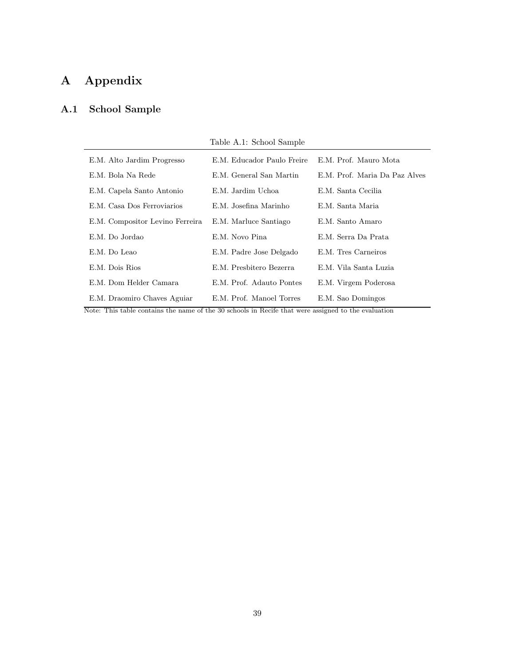# A Appendix

## A.1 School Sample

|  |  |  | Table A.1: School Sample |
|--|--|--|--------------------------|
|--|--|--|--------------------------|

| E.M. Alto Jardim Progresso      | E.M. Educador Paulo Freire | E.M. Prof. Mauro Mota         |
|---------------------------------|----------------------------|-------------------------------|
| E.M. Bola Na Rede               | E.M. General San Martin    | E.M. Prof. Maria Da Paz Alves |
| E.M. Capela Santo Antonio       | E.M. Jardim Uchoa          | E.M. Santa Cecilia            |
| E.M. Casa Dos Ferroviarios      | E.M. Josefina Marinho      | E.M. Santa Maria              |
| E.M. Compositor Levino Ferreira | E.M. Marluce Santiago      | E.M. Santo Amaro              |
| E.M. Do Jordao                  | E.M. Novo Pina             | E.M. Serra Da Prata           |
| E.M. Do Leao                    | E.M. Padre Jose Delgado    | E.M. Tres Carneiros           |
| E.M. Dois Rios                  | E.M. Presbitero Bezerra    | E.M. Vila Santa Luzia         |
| E.M. Dom Helder Camara          | E.M. Prof. Adauto Pontes   | E.M. Virgem Poderosa          |
| E.M. Draomiro Chaves Aguiar     | E.M. Prof. Manoel Torres   | E.M. Sao Domingos             |

Note: This table contains the name of the 30 schools in Recife that were assigned to the evaluation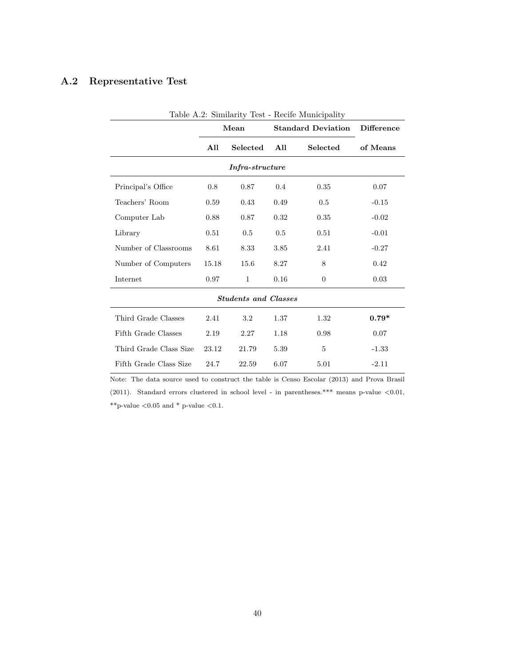## A.2 Representative Test

| Table A.2: Similarity Test - Recife Municipality |                                   |                             |                   |                |          |  |  |  |  |
|--------------------------------------------------|-----------------------------------|-----------------------------|-------------------|----------------|----------|--|--|--|--|
|                                                  | Mean<br><b>Standard Deviation</b> |                             | <b>Difference</b> |                |          |  |  |  |  |
|                                                  | All                               | Selected                    | Selected<br>All   |                | of Means |  |  |  |  |
|                                                  | <i>Infra-structure</i>            |                             |                   |                |          |  |  |  |  |
| Principal's Office                               | 0.8                               | 0.87                        | 0.4               | 0.35           | 0.07     |  |  |  |  |
| Teachers' Room                                   | 0.59                              | 0.43                        | 0.49              | 0.5            | $-0.15$  |  |  |  |  |
| Computer Lab                                     | 0.88                              | 0.87                        | 0.32              | 0.35           | $-0.02$  |  |  |  |  |
| Library                                          | 0.51                              | 0.5                         | 0.5               | 0.51           | $-0.01$  |  |  |  |  |
| Number of Classrooms                             | 8.61                              | 8.33                        | 3.85              | 2.41           | $-0.27$  |  |  |  |  |
| Number of Computers                              | 15.18                             | 15.6                        | 8.27              | 8              | 0.42     |  |  |  |  |
| Internet                                         | 0.97                              | $\mathbf{1}$                | 0.16              | $\overline{0}$ | 0.03     |  |  |  |  |
|                                                  |                                   | <b>Students and Classes</b> |                   |                |          |  |  |  |  |
| Third Grade Classes                              | 2.41                              | 3.2                         | 1.37              | 1.32           | $0.79*$  |  |  |  |  |
| Fifth Grade Classes                              | 2.19                              | 2.27                        | 1.18              | 0.98           | 0.07     |  |  |  |  |
| Third Grade Class Size                           | 23.12                             | 21.79                       | 5.39              | $\overline{5}$ | $-1.33$  |  |  |  |  |
| Fifth Grade Class Size                           | 24.7                              | 22.59                       | 6.07              | 5.01           | $-2.11$  |  |  |  |  |

Note: The data source used to construct the table is Censo Escolar (2013) and Prova Brasil (2011). Standard errors clustered in school level - in parentheses.\*\*\* means p-value  $< 0.01$ ,  $^{**}\mathrm{p}\text{-}\mathrm{value}$   $<\!0.05$  and  $^{*}$  p-value  $<\!0.1.$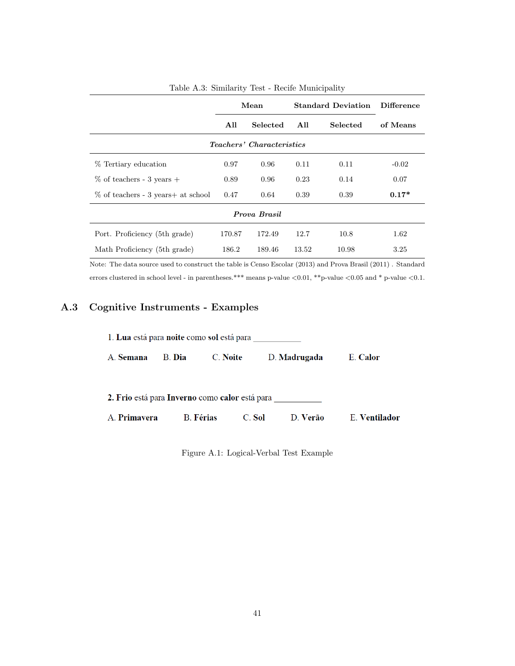|                                     | Mean   |          | <b>Standard Deviation</b> |          | <b>Difference</b> |  |  |
|-------------------------------------|--------|----------|---------------------------|----------|-------------------|--|--|
|                                     | All    | Selected |                           | Selected | of Means          |  |  |
| <i>Teachers' Characteristics</i>    |        |          |                           |          |                   |  |  |
| % Tertiary education                | 0.97   | 0.96     | 0.11                      | 0.11     | $-0.02$           |  |  |
| $\%$ of teachers - 3 years +        | 0.89   | 0.96     | 0.23                      | 0.14     | 0.07              |  |  |
| % of teachers - 3 years + at school | 0.47   | 0.64     | 0.39                      | 0.39     | $0.17*$           |  |  |
| Prova Brasil                        |        |          |                           |          |                   |  |  |
| Port. Proficiency (5th grade)       | 170.87 | 172.49   | 12.7                      | 10.8     | 1.62              |  |  |
| Math Proficiency (5th grade)        | 186.2  | 189.46   | 13.52                     | 10.98    | 3.25              |  |  |

| Table A.3: Similarity Test - Recife Municipality |  |  |  |  |
|--------------------------------------------------|--|--|--|--|
|                                                  |  |  |  |  |

Note: The data source used to construct the table is Censo Escolar (2013) and Prova Brasil (2011) . Standard errors clustered in school level - in parentheses.\*\*\* means p-value  $<0.01$ , \*\*p-value  $<0.05$  and \* p-value  $<0.1$ .

## A.3 Cognitive Instruments - Examples

| 1. Lua está para noite como sol está para |        |                                                |                    |               |  |  |  |  |  |  |
|-------------------------------------------|--------|------------------------------------------------|--------------------|---------------|--|--|--|--|--|--|
| A. Semana                                 | B. Dia | C. Noite                                       | D. Madrugada       | E. Calor      |  |  |  |  |  |  |
|                                           |        | 2. Frio está para Inverno como calor está para |                    |               |  |  |  |  |  |  |
| A. <b>Primavera</b>                       |        | <b>B.</b> Férias                               | D. Verão<br>C. Sol | E. Ventilador |  |  |  |  |  |  |

Figure A.1: Logical-Verbal Test Example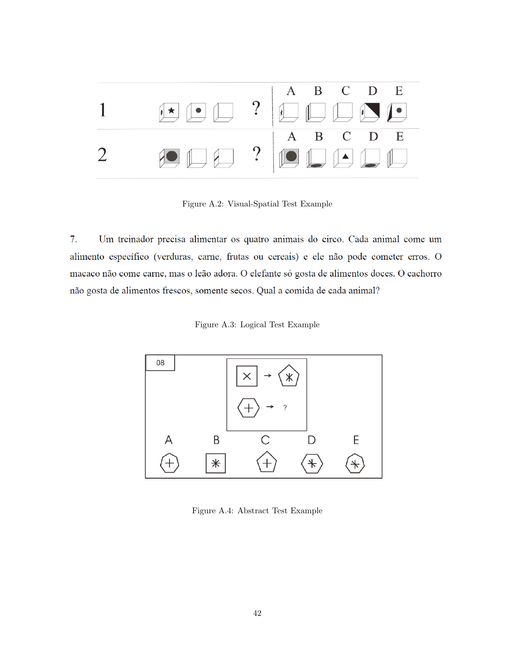

Figure A.2: Visual-Spatial Test Example

 $7.$ Um treinador precisa alimentar os quatro animais do circo. Cada animal come um alimento específico (verduras, carne, frutas ou cereais) e ele não pode cometer erros. O macaco não come carne, mas o leão adora. O elefante só gosta de alimentos doces. O cachorro não gosta de alimentos frescos, somente secos. Qual a comida de cada animal?

Figure A.3: Logical Test Example



Figure A.4: Abstract Test Example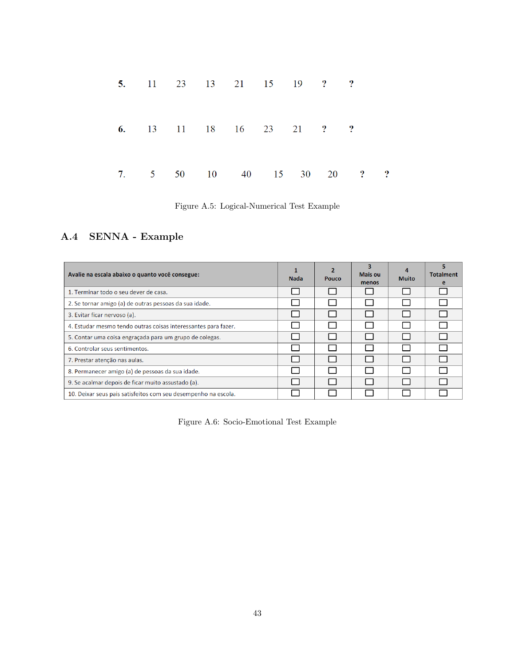|  | 5. 11 23 13 21 15 19 ? ? |  |  |                 |           |
|--|--------------------------|--|--|-----------------|-----------|
|  | 6. 13 11 18 16 23 21 ? ? |  |  |                 |           |
|  | 7. 5 50 10 40 15         |  |  | $30 \t 20 \t 3$ | $\cdot$ ? |

Figure A.5: Logical-Numerical Test Example

## A.4 SENNA - Example

| Avalie na escala abaixo o quanto você consegue:                | <b>Nada</b> | 2<br>Pouco | Mais ou<br>menos | <b>Muito</b> | <b>Totalment</b> |
|----------------------------------------------------------------|-------------|------------|------------------|--------------|------------------|
| 1. Terminar todo o seu dever de casa.                          |             |            |                  |              |                  |
| 2. Se tornar amigo (a) de outras pessoas da sua idade.         |             |            |                  |              |                  |
| 3. Evitar ficar nervoso (a).                                   |             |            |                  |              |                  |
| 4. Estudar mesmo tendo outras coisas interessantes para fazer. |             |            |                  |              |                  |
| 5. Contar uma coisa engraçada para um grupo de colegas.        |             |            |                  |              |                  |
| 6. Controlar seus sentimentos.                                 |             |            |                  |              |                  |
| 7. Prestar atenção nas aulas.                                  |             |            |                  | I.           |                  |
| 8. Permanecer amigo (a) de pessoas da sua idade.               |             |            |                  |              |                  |
| 9. Se acalmar depois de ficar muito assustado (a).             |             |            |                  |              |                  |
| 10. Deixar seus pais satisfeitos com seu desempenho na escola. |             |            |                  |              |                  |

Figure A.6: Socio-Emotional Test Example